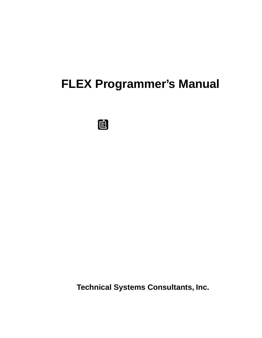# **FLEX Programmer's Manual**

**Technical Systems Consultants, Inc.**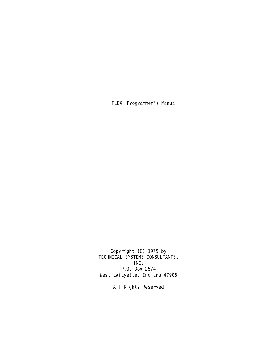FLEX<sup>™</sup> Programmer's Manual

Copyright (C) 1979 by TECHNICAL SYSTEMS CONSULTANTS, INC. P.O. Box 2574 West Lafayette, Indiana 47906

All Rights Reserved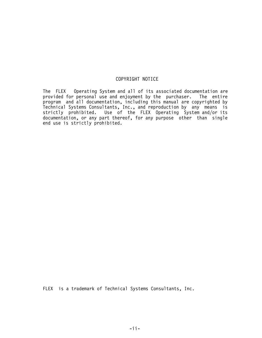#### COPYRIGHT NOTICE

The FLEX<sup>TM</sup> Operating System and all of its associated documentation are provided for personal use and enjoyment by the purchaser. The entire program and all documentation, including this manual are copyrighted by Technical Systems Consultants, Inc., and reproduction by any means is strictly prohibited. Use of the FLEX Operating System and/or its documentation, or any part thereof, for any purpose other than single end use is strictly prohibited.

FLEX<sup>TM</sup> is a trademark of Technical Systems Consultants, Inc.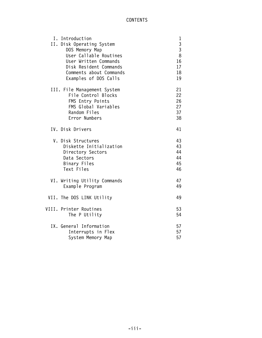# CONTENTS

| I. Introduction<br>II. Disk Operating System<br>DOS Memory Map<br>User Callable Routines<br>User Written Commands<br>Disk Resident Commands<br>Comments about Commands<br>Examples of DOS Calls | 1<br>$\frac{3}{3}$<br>8<br>16<br>17<br>18<br>19 |
|-------------------------------------------------------------------------------------------------------------------------------------------------------------------------------------------------|-------------------------------------------------|
| III. File Management System                                                                                                                                                                     | 21                                              |
| File Control Blocks                                                                                                                                                                             | 22                                              |
| FMS Entry Points                                                                                                                                                                                | 26                                              |
| FMS Global Variables                                                                                                                                                                            | 27                                              |
| Random Files                                                                                                                                                                                    | 37                                              |
| Error Numbers                                                                                                                                                                                   | 38                                              |
| IV. Disk Drivers                                                                                                                                                                                | 41                                              |
| V. Disk Structures                                                                                                                                                                              | 43                                              |
| Diskette Initialization                                                                                                                                                                         | 43                                              |
| Directory Sectors                                                                                                                                                                               | 44                                              |
| Data Sectors                                                                                                                                                                                    | 44                                              |
| Binary Files                                                                                                                                                                                    | 45                                              |
| Text Files                                                                                                                                                                                      | 46                                              |
| VI. Writing Utility Commands                                                                                                                                                                    | 47                                              |
| Example Program                                                                                                                                                                                 | 49                                              |
| VII. The DOS LINK Utility                                                                                                                                                                       | 49                                              |
| VIII. Printer Routines                                                                                                                                                                          | 53                                              |
| The P Utility                                                                                                                                                                                   | 54                                              |
| IX. General Information                                                                                                                                                                         | 57                                              |
| Interrupts in Flex                                                                                                                                                                              | 57                                              |
| System Memory Map                                                                                                                                                                               | 57                                              |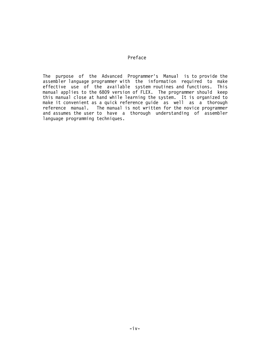Preface

The purpose of the Advanced Programmer's Manual is to provide the assembler language programmer with the information required to make effective use of the available system routines and functions. This manual applies to the 6809 version of FLEX. The programmer should keep this manual close at hand while learning the system. It is organized to make it convenient as a quick reference guide as well as a thorough reference manual. The manual is not written for the novice programmer and assumes the user to have a thorough understanding of assembler language programming techniques.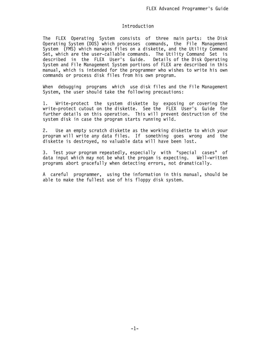# Introduction

The FLEX Operating System consists of three main parts: the Disk Operating System (DOS) which processes commands, the File Management System (FMS) which manages files on a diskette, and the Utility Command Set, which are the user-callable commands. The Utility Command Set is described in the FLEX User's Guide. Details of the Disk Operating System and File Management System portions of FLEX are described in this manual, which is intended for the programmer who wishes to write his own commands or process disk files from his own program.

When debugging programs which use disk files and the File Management System, the user should take the following precautions:

1. Write-protect the system diskette by exposing or covering the write-protect cutout on the diskette. See the FLEX User's Guide for further details on this operation. This will prevent destruction of the system disk in case the program starts running wild.

2. Use an empty scratch diskette as the working diskette to which your program will write any data files. If something goes wrong and the diskette is destroyed, no valuable data will have been lost.

3. Test your program repeatedly, especially with "special cases" of data input which may not be what the progam is expecting. Well-written programs abort gracefully when detecting errors, not dramatically.

A careful programmer, using the information in this manual, should be able to make the fullest use of his floppy disk system.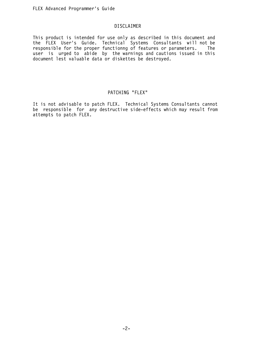# DISCLAIMER

This product is intended for use only as described in this document and the FLEX User's Guide. Technical Systems Consultants will not be responsible for the proper functionng of features or parameters. The user is urged to abide by the warnings and cautions issued in this document lest valuable data or diskettes be destroyed.

# PATCHING "FLEX"

It is not advisable to patch FLEX. Technical Systems Consultants cannot be responsible for any destructive side-effects which may result from attempts to patch FLEX.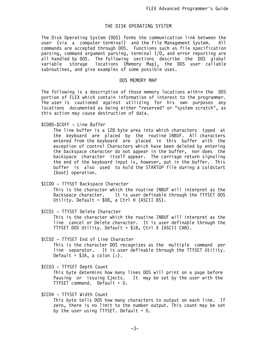# THE DISK OPERATING SYSTEM

The Disk Operating System (DOS) forms the communication link between the user (via a computer terminal) and the File Management System. All commands are accepted through DOS. Functions such as file specification parsing, command argument parsing, terminal I/O, and error reporting are all handled by DOS. The following sections describe the DOS global variable storage locations (Memory Map), the DOS user callable subroutines, and give examples of some possible uses.

## DOS MEMORY MAP

The following is a description of those memory locations within the DOS portion of FLEX which contain information of interest to the programmer. The user is cautioned against utilizing for his own purposes any locations documented as being either "reserved" or "system scratch", as this action may cause destruction of data.

\$C080-\$C0FF - Line Buffer

The line buffer is a 128 byte area into which characters typed at the keyboard are placed by the routine INBUF. All characters entered from the keyboard are placed in this buffer with the exception of control Characters which have been deleted by entering the backspace character do not appear in the buffer, nor does the backspace character itself appear. The carriage return signaling the end of the keyboard input is, however, put in the buffer. This buffer is also used to hold the STARTUP file during a coldstart (boot) operation.

\$CC00 - TTYSET Backspace Character

This is the character which the routine INBUF will interpret as the Backspace character. It is user definable through the TTYSET DOS Utility. Default = \$08, a Ctrl H (ASCII BS).

\$CC01 - TTYSET Delete Character

This is the character which the routine INBUF will interpret as the line cancel or Delete character. It is user definable through the TTYSET DOS Utility. Default = \$18, Ctrl X (ASCII CAN).

\$CC02 - TTYSET End of Line Character

This is the character DOS recognizes as the multiple command per line separator. It is user definable through the TTYSET Utility. Default =  $$3A$ , a colon  $(:).$ 

\$CC03 - TTYSET Depth Count

This byte determins how many lines DOS will print on a page before Pausing or issuing Ejects. It may be set by the user with the TTYSET command. Default = 0.

\$CC04 - TTYSET Width Count

This byte tells DOS how many characters to output on each line. If zero, there is no limit to the number output. This count may be set by the user using TTYSET. Default =  $0$ .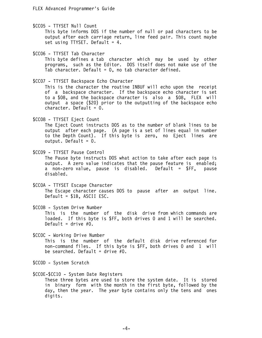\$CC05 - TTYSET Null Count

This byte informs DOS if the number of null or pad characters to be output after each carriage return, line feed pair. This count maybe set using TTYSET. Default = 4.

\$CC06 - TTYSET Tab Character This byte defines a tab character which may be used by other programs, such as the Editor. DOS itself does not make use of the Tab character. Default =  $0$ , no tab character defined.

\$CC07 - TTYSET Backspace Echo Character

This is the character the routine INBUF will echo upon the receipt of a backspace character. If the backspace echo character is set to a \$08, and the backspace character is also a \$08, FLEX will output a space (\$20) prior to the outputting of the backspace echo character. Default =  $0$ .

\$CC08 - TTYSET Eject Count

The Eject Count instructs DOS as to the number of blank lines to be output after each page. (A page is a set of lines equal in number to the Depth Count). If this byte is zero, no Eject lines are output. Default =  $0$ .

- \$CC09 TTYSET Pause Control The Pause byte instructs DOS what action to take after each page is output. A zero value indicates that the pause feature is enabled; a non-zero value, pause is disabled. Default = \$FF, pause disabled.
- \$CC0A TTYSET Escape Character The Escape character causes DOS to pause after an output line. Default = \$1B, ASCII ESC.

\$CC0B - System Drive Number

This is the number of the disk drive from which commands are loaded. If this byte is \$FF, both drives 0 and 1 will be searched. Default = drive  $#0.$ 

\$CC0C - Working Drive Number

This is the number of the default disk drive referenced for non-command files. If this byte is \$FF, both drives 0 and 1 will be searched. Default = drive  $#0$ .

\$CC0D - System Scratch

\$CC0E-\$CC10 - System Date Registers

These three bytes are used to store the system date. It is stored in binary form with the month in the first byte, followed by the day, then the year. The year byte contains only the tens and ones digits.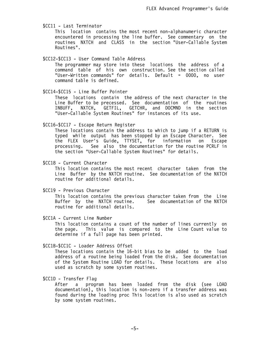\$CC11 - Last Terminator

This location contains the most recent non-alphanumeric character encountered in processing the line buffer. See commentary on the routines NXTCH and CLASS in the section "User-Callable System Routines".

\$CC12-\$CC13 - User Command Table Address

The programmer may store into these locations the address of a command table of his own construction. See the section called "User-Written commands" for details. Default = 0000, no user command table is defined.

\$CC14-\$CC15 - Line Buffer Pointer

These locations contain the address of the next character in the Line Buffer to be precessed. See documentation of the routines INBUFF, NXTCH, GETFIL, GETCHR, and DOCMND in the section "User-Callable System Routines" for instances of its use.

\$CC16-\$CC17 - Escape Return Register

These locations contain the address to which to jump if a RETURN is typed while output has been stopped by an Escape Character. See the FLEX User's Guide, TTYSET, for information on Escape processing. See also the documentation for the routine PCRLF in the section "User-Callable System Routines" for details.

\$CC18 - Current Character

This location contains the most recent character taken from the Line Buffer by the NXTCH routine. See documentation of the NXTCH routine for additional details.

\$CC19 - Previous Character

This location contains the previous character taken from the Line Buffer by the NXTCH routine. See documentation of the NXTCH routine for additional details.

\$CC1A - Current Line Number

This location contains a count of the number of lines currently on the page. This value is compared to the Line Count value to determine if a full page has been printed.

\$CC1B-\$CC1C - Loader Address Offset

These locations contain the 16-bit bias to be added to the load address of a routine being loaded from the disk. See documentation of the System Routine LOAD for details. These locations are also used as scratch by some system routines.

\$CC1D - Transfer Flag

After a program has been loaded from the disk (see LOAD documentation), this location is non-zero if a transfer address was found during the loading proc This location is also used as scratch by some system routines.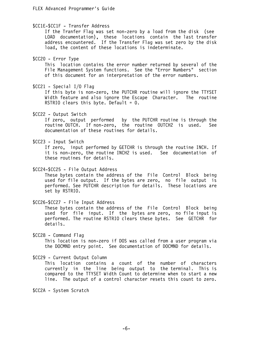# \$CC1E-\$CC1F - Transfer Address

If the Tranfer Flag was set non-zero by a load from the disk (see LOAD documentation), these locations contain the last transfer address encountered. If the Transfer Flag was set zero by the disk load, the content of these locations is indeterminate.

#### \$CC20 - Error Type

This location contains the error number returned by several of the File Management System functions. See the "Error Numbers" section of this document for an interpretation of the error numbers.

#### \$CC21 - Special I/O Flag

If this byte is non-zero, the PUTCHR routine will ignore the TTYSET Width feature and also ignore the Escape Character. The routine RSTRIO clears this byte. Default =  $0$ .

# \$CC22 - Output Switch

If zero, output performed by the PUTCHR routine is through the routine OUTCH. If non-zero, the routine OUTCH2 is used. See documentation of these routines for details.

#### \$CC23 - Input Switch

If zero, input performed by GETCHR is through the routine INCH. If it is non-zero, the routine INCH2 is used. See documentation of these routines for details.

#### \$CC24-\$CC25 - File Output Address

These bytes contain the address of the File Control Block being used for file output. If the bytes are zero, no file output is performed. See PUTCHR description for details. These locations are set by RSTRIO.

# \$CC26-\$CC27 - File Input Address

These bytes contain the address of the File Control Block being used for file input. If the bytes are zero, no file input is performed. The routine RSTRIO clears these bytes. See GETCHR for details.

\$CC28 - Command Flag

This location is non-zero if DOS was called from a user program via the DOCMND entry point. See documentation of DOCMND for details.

\$CC29 - Current Output Column

This location contains a count of the number of characters currently in the line being output to the terminal. This is compared to the TTYSET Width Count to determine when to start a new line. The output of a control character resets this count to zero.

\$CC2A - System Scratch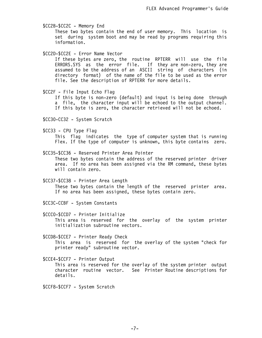\$CC2B-\$CC2C - Memory End

These two bytes contain the end of user memory. This location is set during system boot and may be read by programs requiring this information.

\$CC2D-\$CC2E - Error Name Vector

If these bytes are zero, the routine RPTERR will use the file ERRORS.SYS as the error file. If they are non-zero, they are assumed to be the address of an ASCII string of characters (in directory format) of the name of the file to be used as the error file. See the description of RPTERR for more details.

\$CC2F - File Input Echo Flag

If this byte is non-zero (default) and input is being done through a file, the character input will be echoed to the output channel. If this byte is zero, the character retrieved will not be echoed.

\$CC30-CC32 - System Scratch

\$CC33 - CPU Type Flag

This flag indicates the type of computer system that is running Flex. If the type of computer is unknown, this byte contains zero.

\$CC35-\$CC36 - Reserved Printer Area Pointer

These two bytes contain the address of the reserved printer driver area. If no area has been assigned via the RM command, these bytes will contain zero.

\$CC37-\$CC38 - Printer Area Length

These two bytes contain the length of the reserved printer area. If no area has been assigned, these bytes contain zero.

\$CC3C-CCBF - System Constants

\$CCC0-\$CCD7 - Printer Initialize

This area is reserved for the overlay of the system printer initialization subroutine vectors.

\$CCD8-\$CCE7 - Printer Ready Check

This area is reserved for the overlay of the system "check for printer ready" subroutine vector.

\$CCE4-\$CCF7 - Printer Output

This area is reserved for the overlay of the system printer output character routine vector. See Printer Routine descriptions for details.

\$CCF8-\$CCF7 - System Scratch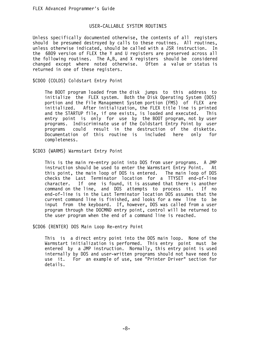# USER-CALLABLE SYSTEM ROUTINES

Unless specifically documented otherwise, the contents of all registers should be presumed destroyed by calls to these routines. All routines, unless otherwise indicated, should be called with a JSR instruction. In the 6809 version of FLEX the Y and U registers are preserved across all the following routines. The A,B, and X registers should be considered changed except where noted otherwise. Often a value or status is returned in one of these registers.

\$CD00 (COLDS) Coldstart Entry Point

The BOOT program loaded from the disk jumps to this address to initialize the FLEX system. Both the Disk Operating System (DOS) portion and the File Management System portion (FMS) of FLEX are initialized. After initialization, the FLEX title line is printed and the STARTUP file, if one exists, is loaded and executed. This entry point is only for use by the BOOT program, not by user programs. Indiscriminate use of the Coldstart Entry Point by user programs could result in the destruction of the diskette. Documentation of this routine is included here only for completeness.

\$CD03 (WARMS) Warmstart Entry Point

This is the main re-entry point into DOS from user programs. A JMP instruction should be used to enter the Warmstart Entry Point. At this point, the main loop of DOS is entered. The main loop of DOS checks the Last Terminator location for a TTYSET end-of-line character. If one is found, it is assumed that there is another command on the line, and DOS attempts to process it. If no end-of-line is in the Last Terminator location DOS assumes that the current command line is finished, and looks for a new line to be input from the keyboard. If, however, DOS was called from a user program through the DOCMND entry point, control will be returned to the user program when the end of a command line is reached.

\$CD06 (RENTER) DOS Main Loop Re-entry Point

This is a direct entry point into the DOS main loop. None of the Warmstart initialization is performed. This entry point must be entered by a JMP instruction. Normally, this entry point is used internally by DOS and user-written programs should not have need to use it. For an example of use, see "Printer Driver" section for details.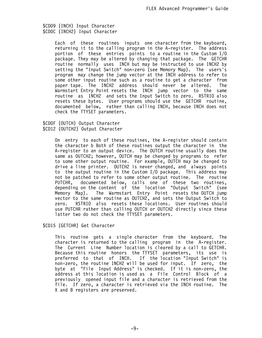\$CD09 (INCH) Input Character \$CD0C (INCH2) Input Character

> Each of these routines inputs one character from the keyboard, returning it to the calling program in the A-register. The address portion of these entries points to a routine in the Custom I/O package. They may be altered by changing that package. The GETCHR routine normally uses INCH but may be instructed to use INCH2 by setting the "Input Switch" non-zero (see Memory Map). The users's program may change the jump vector at the INCH address to refer to some other input routine such as a routine to get a character from paper tape. The INCH2 address should never be altered. The Warmstart Entry Point resets the INCH jump vector to the same routine as INCH2 and sets the Input Switch to zero. RSTRIO also resets these bytes. User programs should use the GETCHR routine, documented below, rather than calling INCH, because INCH does not check the TTYSET parameters.

\$CD0F (OUTCH) Output Character \$CD12 (OUTCH2) Output Character

> On entry to each of these routines, the A-register should contain the character b Both of these routines output the character in the A-register to an output device. The OUTCH routine usually does the same as OUTCH2; however, OUTCH may be changed by programs to refer to some other output routine. For example, OUTCH may be changed to drive a line printer. OUTCH2 is never changed, and always points to the output routine in the Custom I/O package. This address may not be patched to refer to some other output routine. The routine PUTCHR, documented below, calls one of these two routines, depending on the content of the location "Output Switch" (see Memory Map). The Warmstart Entry Point resets the OUTCH jump vector to the same routine as OUTCH2, and sets the Output Switch to zero. RSTRIO also resets these locations. User routines should use PUTCHR rather than calling OUTCH or OUTCH2 directly since these latter two do not check the TTYSET parameters.

\$CD15 (GETCHR) Get Character

This routine gets a single character from the keyboard. The character is returned to the calling program in the A-register. The Current Line Number location is cleared by a call to GETCHR. Because this routine honors the TTYSET parameters, its use is preferred to that of INCH. If the location "Input Switch" is non-zero, the routine INCH2 will be used for input. If zero, the byte at "File Input Address" is checked. If it is non-zero, the address at this location is used as a File Control Block of a previously opened input file and a character is retrieved from the file. If zero, a character is retrieved via the INCH routine. The X and B registers are preserved.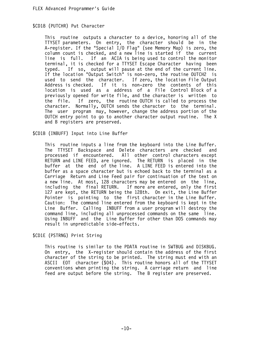# \$CD18 (PUTCHR) Put Character

This routine outputs a character to a device, honoring all of the TTYSET parameters. On entry, the character should be in the A-register. If the "Special I/O Flag" (see Memory Map) is zero, the column count is checked, and a new line is started if the current line is full. If an ACIA is being used to control the monitor terminal, it is checked for a TTYSET Escape Character having been typed. If so, output will pause at the end of the current line. If the location "Output Switch" is non-zero, the routine OUTCH2 is used to send the character. If zero, the location File Output Address is checked. If it is non-zero the contents of this location is used as a address of a File Control Block of a previously opened for write file, and the character is written to the file. If zero, the routine OUTCH is called to process the character. Normally, OUTCH sends the character to the terminal. The user program may, however, change the address portion of the OUTCH entry point to go to another character output routine. The X and B registers are preserved.

# \$CD1B (INBUFF) Input into Line Buffer

This routine inputs a line from the keyboard into the Line Buffer. The TTYSET Backspace and Delete characters are checked and processed if encountered. All other control characters except RETURN and LINE FEED, are ignored. The RETURN is placed in the buffer at the end of the line. A LINE FEED is entered into the buffer as a space character but is echoed back to the terminal as a Carriage Return and Line Feed pair for continuation of the text on a new line. At most, 128 characters may be entered on the line, including the final RETURN. If more are entered, only the first 127 are kept, the RETURN being the 128th. On exit, the Line Buffer Pointer is pointing to the first character in the Line Buffer. Caution: The command line entered from the keyboard is kept in the Line Buffer. Calling INBUFF from a user program will destroy the command line, including all unprocessed commands on the same line. Using INBUFF and the Line Buffer for other than DOS commands may result in unpredictable side-effects.

\$CD1E (PSTRNG) Print String

This routine is similar to the PDATA routine in SWTBUG and DISKBUG. On entry, the X-register should contain the address of the first character of the string to be printed. The string must end with an ASCII EOT character (\$04). This routine honors all of the TTYSET conventions when printing the string. A carriage return and line feed are output before the string. The B register are preserved.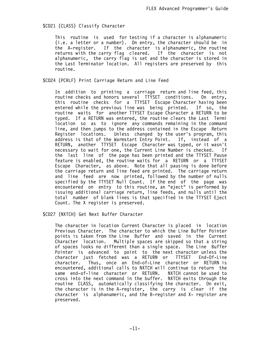\$CD21 (CLASS) Classify Character

This routine is used for testing if a character is alphanumeric (i.e. a letter or a number). On entry, the character should be in the A-register. If the character is alphanumeric, the routine returns with the carry flag cleared. If the character is not alphanumeric, the carry flag is set and the character is stored in the Last Terminator location. All registers are preserved by this routine.

# \$CD24 (PCRLF) Print Carriage Return and Line Feed

In addition to printing a carriage return and line feed, this routine checks and honors several TTYSET conditions. On entry, this routine checks for a TTYSET Escape Character having been entered while the previous line was being printed. If so, the routine waits for another TTYSET Escape Character a RETURN to be typed. If a RETURN was entered, the routine clears the Last Termi location so as to ignore any commands remaining in the command line, and then jumps to the address contained in the Escape Return Register locations. Unless changed by the user's program, this address is that of the Warmstart Entry Point. If, instead of a RETURN, another TTYSET Escape Character was typed, or it wasn't necessary to wait for one, the Current Line Number is checked. If the last line of the page has been printed and the TTYSET Pause feature is enabled, the routine waits for a RETURN or a TTYSET Escape Character, as above. Note that all pausing is done before the carriage return and line feed are printed. The carriage return and line feed are now printed, followed by the number of nulls specified by the TTYSET Null Count. If the end of the page was encountered on entry to this routine, an "eject" is performed by issuing additional carriage return, line feeds, and nulls until the total number of blank lines is that specified in the TTYSET Eject Count. The X register is preserved.

\$CD27 (NXTCH) Get Next Buffer Character

The character in location Current Character is placed in location Previous Character. The character to which the Line Buffer Pointer points is taken from the Line Buffer and saved in the Current Character location. Multiple spaces are skipped so that a string of spaces looks no different than a single space. The Line Buffer Pointer is advanced to point to the next character unless the character just fetched was a RETURN or TTYSET End-Of-Line character. Thus, once an End-of-Line character or RETURN is encountered, additional calls to NXTCH will continue to return the same end-of-line character or RETURN. NXTCH cannot be used to cross into the next command in the buffer. NXTCH exits through the routine CLASS, automatically classifying the character. On exit, the character is in the A-register, the carry is clear if the character is alphanumeric, and the B-register and X- register are preserved.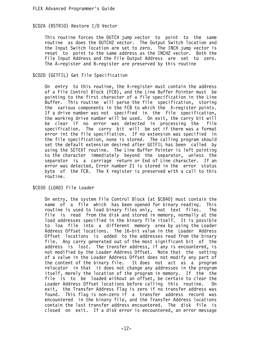# \$CD2A (RSTRIO) Restore I/O Vector

This routine forces the OUTCH jump vector to point to the same routine as does the OUTCH2 vector. The Output Switch location and the Input Switch location are set to zero. The INCH jump vector is reset to point to the same address as the INCH2 vector. Both the File Input Address and the File Output Address are set to zero. The A-register and B-register are preserved by this routine

# \$CD2D (GETFIL) Get File Specification

On entry to this routine, the X-register must contain the address of a File Control Block (FCB), and the Line Buffer Pointer must be pointing to the first character of a file specification in the Line Buffer. This routine will parse the file specification, storing the various components in the FCB to which the X-register points. If a drive number was not specified in the file specification, the working drive number will be used. On exit, the carry bit will be clear if no error was detected in processing the file specification. The carry bit will be set if there was a format error int the file specifiation. If no extension was specified in the file specification, none is stored. The calling program should set the default extension desired after GETFIL has been called by using the SETEXT routine. The Line Buffer Pointer is left pointing to the character immediately beyond the separator, unless the separator is a carriage return or End of Line character. If an error was detected, Error number 21 is stored in the error status byte of the FCB. The X register is preserved with a call to this routine.

\$CD30 (LOAD) File Loader

On entry, the system File Control Block (at \$C840) must contain the name of a file which has been opened for binary reading. This routine is used to load binary files only, not text files. The file is read from the disk and stored in memory, normally at the load addresses specified in the binary file itself. It is possible to loa file into a different memory area by using the Loader Address Offset locations. The 16-bit value in the Loader Address Offset locations is added to the addresses read from the binary file. Any carry generated out of the most significant bit of the address is lost. The transfer address, if any is encountered, is not modified by the Loader Address Offset. Note that the setting of a value in the Loader Address Offset does not modify any part of the content of the binary file. It does not act as a program relocator in that it does not change any addresses in the program itself, merely the location of the program in memory. If the the file is to be loaded without an offset, be certain to clear the Loader Address Offset locations before calling this routine. On exit, the Transfer Address Flag is zero if no transfer address was found. This flag is non-zero if a transfer address record was encountered in the binary file, and the Transfer Address locations contain the last transfer address encountered. The disk file is closed on exit. If a disk error is encountered, an error message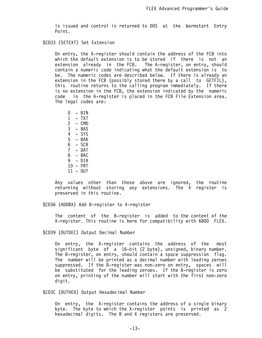is issued and control is returned to DOS at the Warmstart Entry Point.

\$CD33 (SETEXT) Set Extension

On entry, the X-register should contain the address of the FCB into which the default extension is to be stored if there is not an extension already in the FCB. The A-register, on entry, should contain a numeric code indicating what the default extension is to be. The numeric codes are described below. If there is already an extension in the FCB (possibly stored there by a call to GETFIL), this routine returns to the calling program immediately. If there is no extension in the FCB, the extension indicated by the numeric code in the A-register is placed in the FCB File Extension area. The legal codes are:

 $0 - BIN$  $1 - TXT$  2 - CMD 3 - BAS 4 - SYS 5 - BAK 6 - SCR 7 - DAT 8 - BAC 9 - DIR 10 - PRT 11 - OUT

Any values other than those above are ignored, the routine returning without storing any extensions. The X register is preserved in this routine.

\$CD36 (ADDBX) Add B-register to X-register

The content of the B-register is added to the content of the X-register. This routine is here for compatibility with 6800 FLEX.

\$CD39 (OUTDEC) Output Decimal Number

On entry, the X-register contains the address of the most significant byte of a 16-bit (2 byte), unsigned, binary number. The B-register, on entry, should contain a space suppression flag. The number will be printed as a decimal number with leading zeroes suppressed. If the B-register was non-zero on entry, spaces will be substituted for the leading zeroes. If the B-register is zero on entry, printing of the number will start with the first non-zero digit.

\$CD3C (OUTHEX) Output Hexadecimal Number

On entry, the X-register contains the address of a single binary byte. The byte to which the X-register points is printed as 2 hexadecimal digits. The B and X registers are preserved.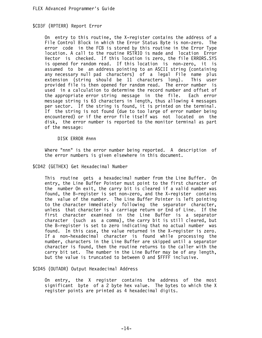# \$CD3F (RPTERR) Report Error

On entry to this routine, the X-register contains the address of a File Control Block in which the Error Status Byte is non-zero. The error code in the FCB is stored by this routine in the Error Type location. A call to the routine RSTRIO is made and location Error Vector is checked. If this location is zero, the file ERRORS.SYS is opened for random read. If this location is non-zero, it is assumed to be an address pointing to an ASCII string (containing any necessary null pad characters) of a legal File name plus extension (string should be 11 characters long). This user provided file is then opened for random read. The error number is used in a calculation to determine the record number and offset of the appropriate error string message in the file. Each error message string is 63 characters in length, thus allowing 4 messages per sector. If the string is found, it is printed on the terminal. If the string is not found (due to too large of error number being encountered) or if the error file itself was not located on the disk, the error number is reported to the monitor terminal as part of the message:

#### DISK ERROR #nnn

Where "nnn" is the error number being reported. A description of the error numbers is given elsewhere in this document.

\$CD42 (GETHEX) Get Hexadecimal Number

This routine gets a hexadecimal number from the Line Buffer. On entry, the Line Buffer Pointer must point to the first character of the number On exit, the carry bit is cleared if a valid number was found, the B-register is set non-zero, and the X-register contains the value of the number. The Line Buffer Pointer is left pointing to the character immediately following the separator character, unless that character is a carriage return or End of Line. If the first character examined in the Line Buffer is a separator character (such as a comma), the carry bit is still cleared, but the B-register is set to zero indicating that no actual number was found. In this case, the value returned in the X-register is zero. If a non-hexadecimal character is found while processing the number, characters in the Line Buffer are skipped until a separator character is found, then the routine returns to the caller with the carry bit set. The number in the Line Buffer may be of any length, but the value is truncated to between 0 and \$FFFF inclusive.

\$CD45 (OUTADR) Output Hexadecimal Address

On entry, the X register contains the address of the most significant byte of a 2 byte hex value. The bytes to which the X register points are printed as 4 hexadecimal digits.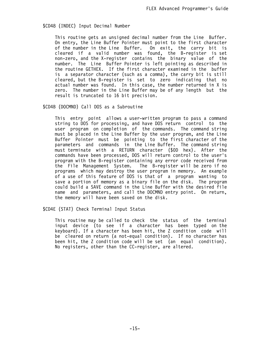\$CD48 (INDEC) Input Decimal Number

This routine gets an unsigned decimal number from the Line Buffer. On entry, the Line Buffer Pointer must point to the first character of the number in the Line Buffer. On exit, the carry bit is cleared if a valid number was found, the B-register is set non-zero, and the X-register contains the binary value of the number. The Line Buffer Pointer is left pointing as described in the routine GETHEX. If the first character examined in the buffer is a separator character (such as a comma), the carry bit is still cleared, but the B-register is set to zero indicating that no actual number was found. In this case, the number returned in X is zero. The number in the Line Buffer may be of any length but the result is truncated to 16 bit precision.

\$CD4B (DOCMND) Call DOS as a Subroutine

This entry point allows a user-written program to pass a command string to DOS for processing, and have DOS return control to the user program on completion of the commands. The command string must be placed in the Line Buffer by the user program, and the Line Buffer Pointer must be pointing to the first character of the parameters and commands in the Line Buffer. The command string must terminate with a RETURN character (\$0D hex). After the commands have been processed, DOS will return control to the user's program with the B-register containing any error code received from the File Management System. The B-register will be zero if no programs which may destroy the user program in memory. An example of a use of this feature of DOS is that of a program wanting to save a portion of memory as a binary file on the disk. The program could build a SAVE command in the Line Buffer with the desired file name and parameters, and call the DOCMND entry point. On return, the memory will have been saved on the disk.

\$CD4E (STAT) Check Terminal Input Status

This routine may be called to check the status of the terminal input device (to see if a character has been typed on the keyboard). If a character has been hit, the Z condition code will be cleared on return (a not-equal condition). If no character has been hit, the Z condition code will be set (an equal condition). No registers, other than the CC-register, are altered.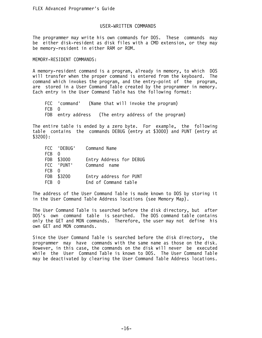#### USER-WRITTEN COMMANDS

The programmer may write his own commands for DOS. These commands may be either disk-resident as disk files with a CMD extension, or they may be memory-resident in either RAM or ROM.

MEMORY-RESIDENT COMMANDS:

A memory-resident command is a program, already in memory, to which DOS will transfer when the proper command is entered from the keyboard. The command which invokes the program, and the entry-point of the program, are stored in a User Command Table created by the programmer in memory. Each entry in the User Command Table has the following format:

FCC 'command' (Name that will invoke the program) FCB 0 FDB entry address (The entry address of the program)

The entire table is ended by a zero byte. For example, the following table contains the commands DEBUG (entry at \$3000) and PUNT (entry at \$3200):

|       | FCC 'DEBUG' | Command Name            |
|-------|-------------|-------------------------|
| FCB   |             |                         |
|       | FDB \$3000  | Entry Address for DEBUG |
|       | FCC 'PUNT'  | Command name            |
| FCB 0 |             |                         |
|       | FDB \$3200  | Entry address for PUNT  |
| FCB   |             | End of Command table    |

The address of the User Command Table is made known to DOS by storing it in the User Command Table Address locations (see Memory Map).

The User Command Table is searched before the disk directory, but after DOS's own command table is searched. The DOS command table contains only the GET and MON commands. Therefore, the user may not define his own GET and MON commands.

Since the User Command Table is searched before the disk directory, the programmer may have commands with the same name as those on the disk. However, in this case, the commands on the disk will never be executed while the User Command Table is known to DOS. The User Command Table may be deactivated by clearing the User Command Table Address locations.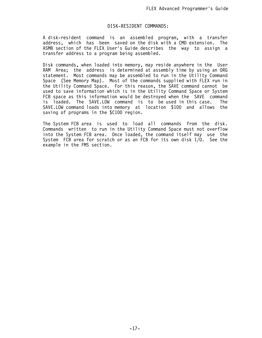## DISK-RESIDENT COMMANDS:

A disk-resident command is an assembled program, with a transfer address, which has been saved on the disk with a CMD extension. The ASMB section of the FLEX User's Guide describes the way to assign a transfer address to a program being assembled.

Disk commands, when loaded into memory, may reside anywhere in the User RAM Area; the address is determined at assembly time by using an ORG statement. Most commands may be assembled to run in the Utility Command Space (See Memory Map). Most of the commands supplied with FLEX run in the Utility Command Space. For this reason, the SAVE command cannot be used to save information which is in the Utility Command Space or System FCB space as this information would be destroyed when the SAVE command is loaded. The SAVE.LOW command is to be used in this case. The SAVE.LOW command loads into memory at location \$100 and allows the saving of programs in the \$C100 region.

The System FCB area is used to load all commands from the disk. Commands written to run in the Utility Command Space must not overflow into the System FCB area. Once loaded, the command itself may use the System FCB area for scratch or as an FCB for its own disk I/O. See the example in the FMS section.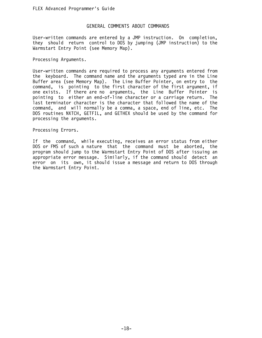# GENERAL COMMENTS ABOUT COMMANDS

User-written commands are entered by a JMP instruction. On completion, they should return control to DOS by jumping (JMP instruction) to the Warmstart Entry Point (see Memory Map).

Processing Arguments.

User-written commands are required to process any arguments entered from the keyboard. The command name and the arguments typed are in the Line Buffer area (see Memory Map). The Line Buffer Pointer, on entry to the command, is pointing to the first character of the first argument, if one exists. If there are no arguments, the Line Buffer Pointer is pointing to either an end-of-line character or a carriage return. The last terminator character is the character that followed the name of the command, and will normally be a comma, a space, end of line, etc. The DOS routines NXTCH, GETFIL, and GETHEX should be used by the command for processing the arguments.

Processing Errors.

If the command, while executing, receives an error status from either DOS or FMS of such a nature that the command must be aborted, the program should jump to the Warmstart Entry Point of DOS after issuing an appropriate error message. Similarly, if the command should detect an error on its own, it should issue a message and return to DOS through the Warmstart Entry Point.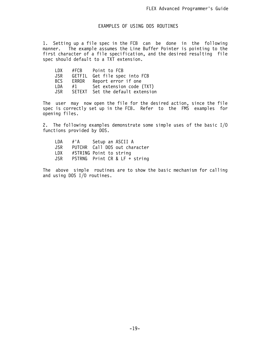#### EXAMPLES OF USING DOS ROUTINES

1. Setting up a file spec in the FCB can be done in the following manner. The example assumes the Line Buffer Pointer is pointing to the first character of a file specification, and the desired resulting file spec should default to a TXT extension.

| LDX. | #FCB   | Point to FCB              |
|------|--------|---------------------------|
| JSR. | GETFIL | Get file spec into FCB    |
| BCS  | ERROR  | Report error if one       |
| LDA  | #1     | Set extension code (TXT)  |
| JSR  | SETEXT | Set the default extension |

The user may now open the file for the desired action, since the file spec is correctly set up in the FCB. Refer to the FMS examples for opening files.

2. The following examples demonstrate some simple uses of the basic I/O functions provided by DOS.

LDA #'A Setup an ASCII A JSR PUTCHR Call DOS out character LDX #STRING Point to string JSR PSTRNG Print CR & LF + string

The above simple routines are to show the basic mechanism for calling and using DOS I/O routines.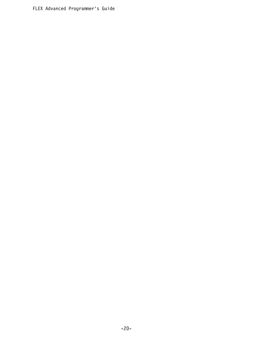# FLEX Advanced Programmer's Guide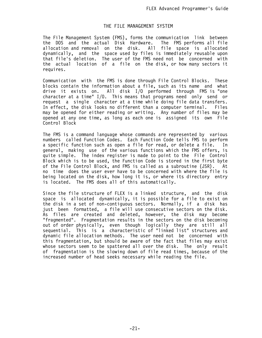# THE FILE MANAGEMENT SYSTEM

The File Management System (FMS), forms the communication link between the DOS and the actual Disk Hardware. The FMS performs all file allocation and removal on the disk. All file space is allocated dynamically, and the space used by files is immediately reusable upon that file's deletion. The user of the FMS need not be concerned with the actual location of a file on the disk, or how many sectors it requires.

Communication with the FMS is done through File Control Blocks. These blocks contain the information about a file, such as its name and what drive it exists on. All disk I/O performed through FMS is "one character at a time" I/O. This means that programs need only send or request a single character at a time while doing file data transfers. In effect, the disk looks no different than a computer terminal. Files may be opened for either reading or writing. Any number of files may be opened at any one time, as long as each one is assigned its own File Control Block

The FMS is a command language whose commands are represented by various numbers called Function Codes. Each Function Code tells FMS to perform a specific function such as open a file for read, or delete a file. In general, making use of the various functions which the FMS offers, is quite simple. The index register is made to point to the File Control Block which is to be used, the Function Code is stored in the first byte of the File Control Block, and FMS is called as a subroutine (JSR). At no time does the user ever have to be concerned with where the file is being located on the disk, how long it is, or where its directory entry is located. The FMS does all of this automatically.

Since the file structure of FLEX is a linked structure, and the disk space is allocated dynamically, it is possible for a file to exist on the disk in a set of non-contiguous sectors. Normally, if a disk has just been formatted, a file will use consecutive sectors on the disk. As files are created and deleted, however, the disk may become "fragmented". Fragmentation results in the sectors on the disk becoming out of order physically, even though logically they are still all sequential. This is a characteristic of "linked list" structures and dynamic file allocation methods. The user need not be concerned with this fragmentation, but should be aware of the fact that files may exist whose sectors seem to be spattered all over the disk. The only result of fragmentation is the slowing down of file read times, because of the increased number of head seeks necessary while reading the file.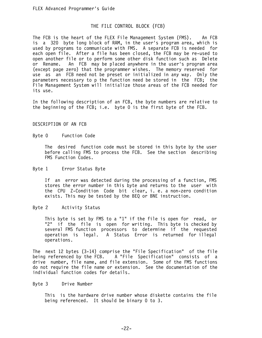# THE FILE CONTROL BLOCK (FCB)

The FCB is the heart of the FLEX File Management System (FMS). An FCB is a 320 byte long block of RAM, in the user's program area, which is used by programs to communicate with FMS. A separate FCB is needed for each open file. After a file has been closed, the FCB may be re-used to open another file or to perform some other disk function such as Delete or Rename. An FCB may be placed anywhere in the user's program area (except page zero) that the programmer wishes. The memory reserved for use as an FCB need not be preset or initialized in any way. Only the parameters necessary to p the function need be stored in the FCB; the File Management System will initialize those areas of the FCB needed for its use.

In the following description of an FCB, the byte numbers are relative to the beginning of the FCB; i.e. byte 0 is the first byte of the FCB.

#### DESCRIPTION OF AN FCB

#### Byte 0 Function Code

The desired function code must be stored in this byte by the user before calling FMS to process the FCB. See the section describing FMS Function Codes.

#### Byte 1 Error Status Byte

If an error was detected during the processing of a function, FMS stores the error number in this byte and returns to the user with the CPU Z-Condition Code bit clear, i. e. a non-zero condition exists. This may be tested by the BEQ or BNE instruction.

# Byte 2 Activity Status

This byte is set by FMS to a "1" if the file is open for read, or "2" if the file is open for writing. This byte is checked by several FMS function processors to determine if the requested operation is legal. A Status Error is returned for illegal operations.

The next 12 bytes (3-14) comprise the "File Specification" of the file being referenced by the FCB. A "File Specification" consists of a drive number, file name, and file extension. Some of the FMS functions do not require the file name or extension. See the documentation of the individual function codes for details.

#### Byte 3 Drive Number

This is the hardware drive number whose diskette contains the file being referenced. It should be binary 0 to 3.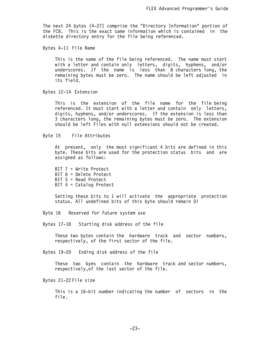The next 24 bytes (4-27) comprise the "Directory Information" portion of the FCB. This is the exact same information which is contained in the diskette directory entry for the file being referenced.

Bytes 4-11 File Name

This is the name of the file being referenced. The name must start with a letter and contain only letters, digits, hyphens, and/or underscores. If the name is less than 8 characters long, the remaining bytes must be zero. The name should be left adjusted in its field.

Bytes 12-14 Extension

This is the extension of the file name for the file being referenced. It must start with a letter and contain only letters, digits, hyphens, and/or underscores. If the extension is less than 3 characters long, the remaining bytes must be zero. The extension should be left Files with null extensions should not be created.

Byte 15 File Attributes

At present, only the most significant 4 bits are defined in this byte. These bits are used for the protection status bits and are assigned as follows:

BIT 7 = Write Protect BIT 6 = Delete Protect BIT 5 = Read Protect BIT 4 = Catalog Protect

Setting these bits to 1 will activate the appropriate protection status. All undefined bits of this byte should remain 0!

Byte 16 Reserved for future system use

Bytes 17-18 Starting disk address of the file

These two bytes contain the hardware track and sector numbers, respectively, of the first sector of the file.

Bytes 19-20 Ending disk address of the file

These two byes contain the hardware track and sector numbers, respectively,of the last sector of the file.

Bytes 21-22 File size

This is a 16-bit number indicating the number of sectors in the file.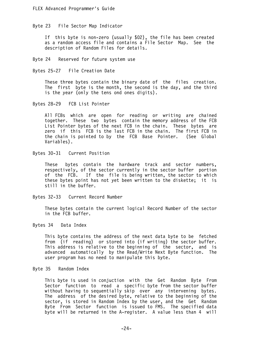Byte 23 File Sector Map Indicator

If this byte is non-zero (usually \$02), the file has been created as a random access file and contains a File Sector Map. See the description of Random Files for details.

Byte 24 Reserved for future system use

Bytes 25-27 File Creation Date

These three bytes contain the binary date of the files creation. The first byte is the month, the second is the day, and the third is the year (only the tens ond ones digits).

Bytes 28-29 FCB List Pointer

All FCBs which are open for reading or writing are chained together. These two bytes contain the memory address of the FCB List Pointer bytes of the next FCB in the chain. These bytes are zero if this FCB is the last FCB in the chain. The first FCB in the chain is pointed to by the FCB Base Pointer. (See Global Variables).

Bytes 30-31 Current Position

These bytes contain the hardware track and sector numbers, respectively, of the sector currently in the sector buffer portion of the FCB. If the file is being written, the sector to which these bytes point has not yet been written to the diskette; it is still in the buffer.

Bytes 32-33 Current Record Number

These bytes contain the current logical Record Number of the sector in the FCB buffer.

Bytes 34 Data Index

This byte contains the address of the next data byte to be fetched from (if reading) or stored into (if writing) the sector buffer. This address is relative to the beginning of the sector, and is advanced automatically by the Read/Write Next Byte function. The user program has no need to manipulate this byte.

#### Byte 35 Random Index

This byte is used in conjuction with the Get Random Byte From Sector function to read a specific byte from the sector buffer without having to sequentially skip over any intervening bytes. The address of the desired byte, relative to the beginning of the sector, is stored in Random Index by the user, and the Get Random Byte From Sector function is issued to FMS. The specified data byte will be returned in the A-register. A value less than 4 will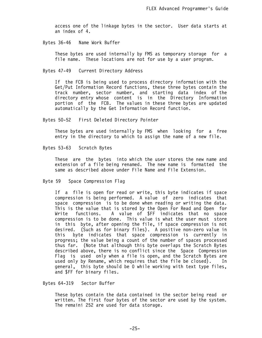access one of the linkage bytes in the sector. User data starts at an index of 4.

Bytes 36-46 Name Work Buffer

These bytes are used internally by FMS as temporary storage for a file name. These locations are not for use by a user program.

Bytes 47-49 Current Directory Address

If the FCB is being used to process directory information with the Get/Put Information Record functions, these three bytes contain the track number, sector number, and starting data index of the directory entry whose content is in the Directory Information portion of the FCB. The values in these three bytes are updated automatically by the Get Information Record function.

Bytes 50-52 First Deleted Directory Pointer

These bytes are used internally by FMS when looking for a free entry in the directory to which to assign the name of a new file.

Bytes 53-63 Scratch Bytes

These are the bytes into which the user stores the new name and extension of a file being renamed. The new name is formatted the same as described above under File Name and File Extension.

Byte 59 Space Compression Flag

If a file is open for read or write, this byte indicates if space compression is being performed. A value of zero indicates that space compression is to be done when reading or writing the data. This is the value that is stored by the Open For Read and Open for Write functions. A value of \$FF indicates that no space compression is to be done. This value is what the user must store in this byte, after opening the file, if space compression is not desired. (Such as for binary files). A positive non-zero value in this byte indicates that space compression is currently in progress; the value being a count of the number of spaces processed thus far. (Note that although this byte overlaps the Scratch Bytes described above, there is no conflict since the Space Compression Flag is used only when a file is open, and the Scratch Bytes are used only by Rename, which requires that the file be closed). In general, this byte should be 0 while working with text type files, and \$FF for binary files.

Bytes 64-319 Sector Buffer

These bytes contain the data contained in the sector being read or written. The first four bytes of the sector are used by the system. The remaini 252 are used for data storage.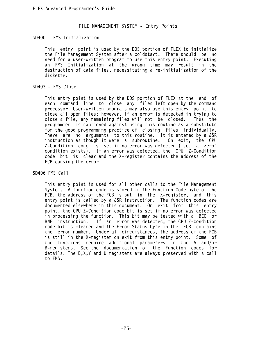#### FILE MANAGEMENT SYSTEM - Entry Points

## \$D400 - FMS Initialization

This entry point is used by the DOS portion of FLEX to initialize the File Management System after a coldstart. There should be no need for a user-written program to use this entry point. Executing an FMS Initialization at the wrong time may result in the destruction of data files, necessitating a re-initialization of the diskette.

# \$D403 - FMS Close

This entry point is used by the DOS portion of FLEX at the end of each command line to close any files left open by the command processor. User-written programs may also use this entry point to close all open files; however, if an error is detected in trying to close a file, any remaining files will not be closed. Thus the programmer is cautioned against using this routine as a substitute for the good programming practice of closing files individually. There are no arguments to this routine. It is entered by a JSR instruction as though it were a subroutine. On exit, the CPU Z-Condition code is set if no error was detected (i.e. a "zero" condition exists). If an error was detected, the CPU Z-Condition code bit is clear and the X-register contains the address of the FCB causing the error.

# \$D406 FMS Call

This entry point is used for all other calls to the File Management System. A function code is stored in the Function Code byte of the FCB, the address of the FCB is put in the X-register, and this entry point is called by a JSR instruction. The function codes are documented elsewhere in this document. On exit from this entry point, the CPU Z-Condition code bit is set if no error was detected in processing the function. This bit may be tested with a BEQ or BNE instruction. If an error was detected, the CPU Z-Condition code bit is cleared and the Error Status byte in the FCB contains the error number. Under all circumstances, the address of the FCB is still in the X-register on exit from this entry point. Some of the functions require additional parameters in the A and/or B-registers. See the documentation of the Function codes for details. The B,X,Y and U registers are always preserved with a call to FMS.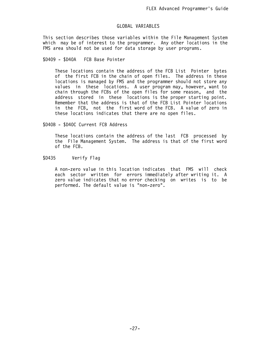# GLOBAL VARIABLES

This section describes those variables within the File Management System which may be of interest to the programmer. Any other locations in the FMS area should not be used for data storage by user programs.

\$D409 - \$D40A FCB Base Pointer

These locations contain the address of the FCB List Pointer bytes of the first FCB in the chain of open files. The address in these locations is managed by FMS and the programmer should not store any values in these locations. A user program may, however, want to chain through the FCBs of the open files for some reason, and the address stored in these locations is the proper starting point. Remember that the address is that of the FCB List Pointer locations in the FCB, not the first word of the FCB. A value of zero in these locations indicates that there are no open files.

\$D40B - \$D40C Current FCB Address

These locations contain the address of the last FCB processed by the File Management System. The address is that of the first word of the FCB.

#### \$D435 Verify Flag

A non-zero value in this location indicates that FMS will check each sector written for errors immediately after writing it. A zero value indicates that no error checking on writes is to be performed. The default value is "non-zero".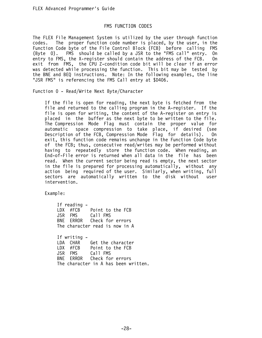# FMS FUNCTION CODES

The FLEX File Management System is utilized by the user through function codes. The proper function code number is placed, by the user, in the Function Code byte of the File Control Block (FCB) before calling FMS (Byte 0). FMS should be called by a JSR to the "FMS call" entry. On entry to FMS, the X-register should contain the address of the FCB. On exit from FMS, the CPU Z-condition code bit will be clear if an error was detected while processing the function. This bit may be tested by the BNE and BEQ instructions. Note: In the following examples, the line "JSR FMS" is referencing the FMS Call entry at \$D406.

Function 0 - Read/Write Next Byte/Character

If the file is open for reading, the next byte is fetched from the file and returned to the calling program in the A-register. If the file is open for writing, the content of the A-register on entry is placed in the buffer as the next byte to be written to the file. The Compression Mode Flag must contain the proper value for automatic space compression to take place, if desired (see Description of the FCB, Compression Mode Flag for details). On exit, this function code remains unchange in the Function Code byte of the FCB; thus, consecutive read/writes may be performed without having to repeatedly store the function code. When reading, an End-of-File error is returned when all data in the file has been read. When the current sector being read is empty, the next sector in the file is prepared for processing automatically, without any action being required of the user. Similarly, when writing, full sectors are automatically written to the disk without user intervention.

Example:

If reading - LDX #FCB Point to the FCB JSR FMS Call FMS Check for errors The character read is now in A

If writing - LDA CHAR Get the character<br>LDX #FCB Point to the FCB Point to the FCB JSR FMS Call FMS BNE ERROR Check for errors The character in A has been written.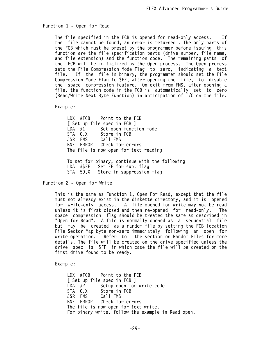Function 1 - Open for Read

The file specified in the FCB is opened for read-only access. If the file cannot be found, an error is returned . The only parts of the FCB which must be preset by the programmer before issuing this function are the file specification parts (drive number, file name, and file extension) and the function code. The remaining parts of the FCB will be initialized by the Open process. The Open process sets the File Compression Mode Flag to zero, indicating a text file. If the file is binary, the programmer should set the File Compression Mode Flag to \$FF, after opening the file, to disable the space compression feature. On exit from FMS, after opening a file, the function code in the FCB is automatically set to zero (Read/Write Next Byte Function) in anticipation of I/O on the file.

Example:

LDX #FCB Point to the FCB [ Set up file spec in FCB ] LDA #1 Set open function mode STA 0.X Store in FCB JSR FMS Call FMS BNE ERROR Check for errors The file is now open for text reading

To set for binary, continue with the following LDA #\$FF Set FF for sup. flag<br>STA 59.X Store in suppression Store in suppression flag

Function 2 - Open for Write

This is the same as Function 1, Open For Read, except that the file must not already exist in the diskette directory, and it is opened for write-only access. A file opened for write may not be read unless it is first closed and then re-opened for read-only. The space compression flag should be treated the same as described in "Open for Read". A file is normally opened as a sequential file but may be created as a random file by setting the FCB location File Sector Map byte non-zero immediately following an open for write operation. Refer to the section on Random Files for more details. The file will be created on the drive specified unless the drive spec is \$FF in which case the file will be created on the first drive found to be ready.

Example:

LDX #FCB Point to the FCB [ Set up file spec in FCB ] LDA #2 Setup open for write code<br>STA 0,X Store in FCB Store in FCB JSR FMS Call FMS BNE ERROR Check for errors The file is now open for text write. For binary write, follow the example in Read open.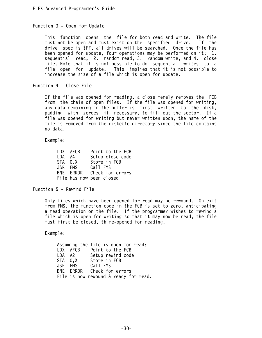Function 3 - Open for Update

This function opens the file for both read and write. The file<br>must not be open and must exist on the specified drive. If the must not be open and must exist on the specified drive. drive spec is \$FF, all drives will be searched. Once the file has been opened for update, four operations may be performed on it; 1. sequential read, 2. random read, 3. random write, and 4. close file. Note that it is not possible to do sequential writes to a file open for update. This implies that it is not possible to increase the size of a file which is open for update.

Function 4 - Close File

If the file was opened for reading, a close merely removes the FCB from the chain of open files. If the file was opened for writing, any data remaining in the buffer is first written to the disk, padding with zeroes if necessary, to fill out the sector. If a file was opened for writing but never written upon, the name of the file is removed from the diskette directory since the file contains no data.

Example:

LDX #FCB Point to the FCB LDA #4 Setup close code<br>STA 0.X Store in FCB Store in FCB JSR FMS Call FMS Check for errors File has now been closed

Function 5 - Rewind File

Only files which have been opened for read may be rewound. On exit from FMS, the function code in the FCB is set to zero, anticipating a read operation on the file. If the programmer wishes to rewind a file which is open for writing so that it may now be read, the file must first be closed, th re-opened for reading.

Example:

Assuming the file is open for read: LDX #FCB Point to the FCB LDA #2 Setup rewind code STA 0,X Store in FCB<br>JSR FMS Call FMS Call FMS BNE ERROR Check for errors File is now rewound & ready for read.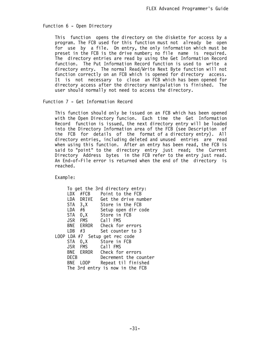Function 6 - Open Directory

This function opens the directory on the diskette for access by a program. The FCB used for this function must not already be open for use by a file. On entry, the only information which must be preset in the FCB is the drive number; no file name is required. The directory entries are read by using the Get Information Record function. The Put Information Record function is used to write a directory entry. The normal Read/Write Next Byte function will not function correctly on an FCB which is opened for directory access. It is not necessary to close an FCB which has been opened for directory access after the directory manipulation is finished. The user should normally not need to access the directory.

Function 7 - Get Information Record

This function should only be issued on an FCB which has been opened with the Open Directory funcion. Each time the Get Information Record function is issued, the next directory entry will be loaded into the Directory Information area of the FCB (see Description of the FCB for details of the format of a directory entry). All directory entries, including deleted and unused entries are read when using this function. After an entry has been read, the FCB is said to "point" to the directory entry just read; the Current Directory Address bytes in the FCB refer to the entry just read. An End-of-File error is returned when the end of the directory is reached.

Example:

|             |              | To get the 3rd directory entry: |
|-------------|--------------|---------------------------------|
| LDX         | #FCB         | Point to the FCB                |
|             |              | LDA DRIVE Get the drive number  |
|             | $STA \t3, X$ | Store in the FCB                |
|             |              | LDA #6 Setup open dir code      |
|             |              | STA 0,X Store in FCB            |
|             |              | JSR FMS Call FMS                |
|             |              | BNE ERROR Check for errors      |
| $LDB$ #3    |              | Set counter to 3                |
|             |              | LOOP LDA #7 Setup get rec code  |
|             |              | STA 0,X Store in FCB            |
|             | JSR FMS      | Call FMS                        |
|             |              | BNE ERROR Check for errors      |
| <b>DECB</b> |              | Decrement the counter           |
| BNE LOOP    |              | Repeat til finished             |
|             |              | The 3rd entry is now in the FCB |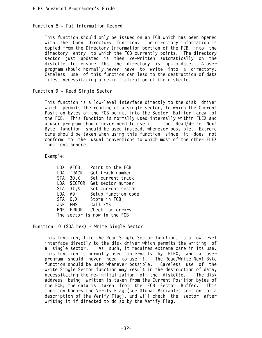Function 8 - Put Information Record

This function should only be issued on an FCB which has been opened with the Open Directory function. The directory information is copied from the Directory Information portion of the FCB into the directory entry to which the FCB currently points. The directory sector just updated is then re-written automatically on the diskette to ensure that the directory is up-to-date. A user program should normally never have to write into a directory. Careless use of this function can lead to the destruction of data files, necessitating a re-initialization of the diskette.

Function 9 - Read Single Sector

This function is a low-level interface directly to the disk driver which permits the reading of a single sector, to which the Current Position bytes of the FCB point, into the Sector Bufffer area of the FCB. This function is normally used internally within FLEX and a user program should never need to use it. The Read/Write Next Byte function should be used instead, whenever possible. Extreme care should be taken when using this function since it does not conform to the usual conventions to which most of the other FLEX functions adhere.

Example:

| #FCB    | Point to the FCB             |
|---------|------------------------------|
| TRACK   | Get track number             |
| 30, X   | Set current track            |
|         | Get sector number            |
| 31, X   | Set current sector           |
| #9      | Setup function code          |
| 0, X    | Store in FCB                 |
| JSR FMS | Call FMS                     |
|         | Check for errors             |
|         | The sector is now in the FCB |
|         | LDA SECTOR<br>ERROR          |

Function 10 (\$0A hex) - Write Single Sector

This function, like the Read Single Sector function, is a low-level interface directly to the disk driver which permits the writing of a single sector. As such, it requires extreme care in its use. This function is normally used internally by FLEX, and a user program should never need to use it. The Read/Write Next Byte function should be used whenever possible. Careless use of the Write Single Sector function may result in the destruction of data, necessitating the re-initialization of the diskette. The disk address being written is taken from the Current Position bytes of the FCB; the data is taken from the FCB Sector Buffer. This function honors the Verify Flag (see Global Variables section for a description of the Verify Flag), and will check the sector after writing it if directed to do so by the Verify Flag.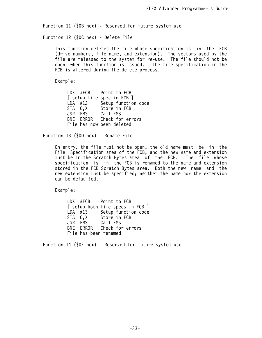Function 11 (\$0B hex) - Reserved for future system use

Function 12 (\$0C hex) - Delete File

This function deletes the file whose specification is in the FCB (drive numbers, file name, and extension). The sectors used by the file are released to the system for re-use. The file should not be open when this function is issued. The file specification in the FCB is altered during the delete process.

Example:

LDX #FCB Point to FCB [ setup file spec in FCB ]<br>LDA #12 Setup functio LDA #12 Setup function code<br>STA 0,X Store in FCB Store in FCB JSR FMS Call FMS Check for errors File has now been deleted

Function 13 (\$0D hex) - Rename File

On entry, the file must not be open, the old name must be in the File Specification area of the FCB, and the new name and extension must be in the Scratch Bytes area of the FCB. The file whose specification is in the FCB is renamed to the name and extension stored in the FCB Scratch Bytes area. Both the new name and the new extension must be specified; neither the name nor the extension can be defaulted.

Example:

LDX #FCB Point to FCB [ setup both file specs in FCB ] LDA #13 Setup function code STA 0.X Store in FCB JSR FMS Call FMS BNE ERROR Check for errors File has been renamed

Function 14 (\$0E hex) - Reserved for future system use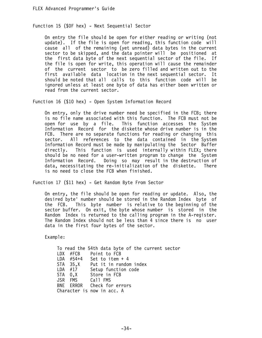Function 15 (\$0F hex) - Next Sequential Sector

On entry the file should be open for either reading or writing (not update). If the file is open for reading, this function code will cause all of the remaining (yet unread) data bytes in the current sector to be skipped, and the data pointer will be positioned at the first data byte of the next sequential sector of the file. If the file is open for write, this operation will cause the remainder of the current sector to be zero filled and written out to the first available data location in the next sequential sector. It should be noted that all calls to this function code will be ignored unless at least one byte of data has either been written or read from the current sector.

Function 16 (\$10 hex) - Open System Information Record

On entry, only the drive number need be specified in the FCB; there is no file name associated with this function. The FCB must not be open for use by a file. This function accesses the System Information Record for the diskette whose drive number is in the FCB. There are no separate functions for reading or changing this sector. All references to the data contained in the System Information Record must be made by manipulating the Sector Buffer directly. This function is used internally within FLEX; there should be no need for a user-written program to change the System Information Record. Doing so may result in the destruction of data, necessitating the re-initialization of the diskette. There is no need to close the FCB when finished.

Function 17 (\$11 hex) - Get Random Byte From Sector

On entry, the file should be open for reading or update. Also, the desired byte' number should be stored in the Random Index byte of the FCB. This byte number is relative to the beginning of the sector buffer. On exit, the byte whose number is stored in the Random Index is returned to the calling program in the A-register. The Random Index should not be less than 4 since there is no user data in the first four bytes of the sector.

Example:

To read the 54th data byte of the current sector LDX #FCB Point to FCB<br>LDA #54+4 Set to item + LDA #54+4 Set to item + 4<br>STA 35,X Put it in randor Put it in random index LDA #17 Setup function code<br>STA 0,X Store in FCB Store in FCB JSR FMS Call FMS BNE ERROR Check for errors Character is now in acc. A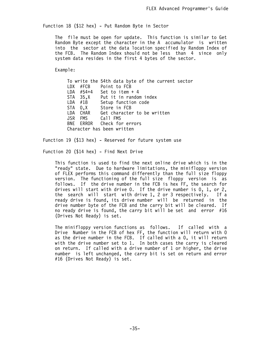Function 18 (\$12 hex) - Put Random Byte in Sector

The file must be open for update. This function is similar to Get Random Byte except the character in the A accumulator is written into the sector at the data location specified by Random Index of the FCB. The Random Index should not be less than 4 since only system data resides in the first 4 bytes of the sector.

Example:

To write the 54th data byte of the current sector LDX #FCB Point to FCB<br>LDA #54+4 Set to item -LDA #54+4 Set to item + 4<br>STA 35,X Put it in randor Put it in random index LDA #18 Setup function code<br>STA 0,X Store in FCB STA 0,X Store in FCB<br>LDA CHAR Get character Get character to be written JSR FMS Call FMS Check for errors Character has been written

Function 19 (\$13 hex) - Reserved for future system use

Function 20 (\$14 hex) - Find Next Drive

This function is used to find the next online drive which is in the "ready" state. Due to hardware limitations, the minifloppy version of FLEX performs this command differently than the full size floppy version. The functioning of the full size floppy version is as follows. If the drive number in the FCB is hex FF, the search for drives will start with drive 0. If the drive number is 0, 1, or 2, the search will start with drive 1, 2 or 3 respectively. If a ready drive is found, its drive number will be returned in the drive number byte of the FCB and the carry bit will be cleared. If no ready drive is found, the carry bit will be set and error #16 (Drives Not Ready) is set.

The minifloppy version functions as follows. If called with a Drive Number in the FCB of hex FF, the function will return with 0 as the drive number in the FCB. If called with a 0, it will return with the drive number set to 1. In both cases the carry is cleared on return. If called with a drive number of 1 or higher, the drive number is left unchanged, the carry bit is set on return and error #16 (Drives Not Ready) is set.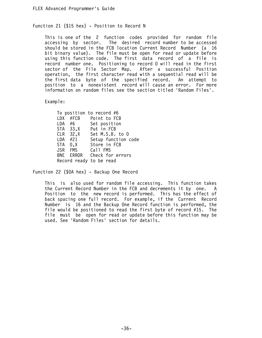Function 21 (\$15 hex) - Position to Record N

This is one of the 2 function codes provided for random file accessing by sector. The desired record number to be accessed should be stored in the FCB location Current Record Number (a 16 bit binary value). The file must be open for read or update before using this function code. The first data record of a file is record number one. Positioning to record 0 will read in the first sector of the File Sector Map. After a successful Position operation, the first character read with a sequential read will be the first data byte of the specified record. An attempt to position to a nonexistent record will cause an error. For more information on random files see the section titled 'Random Files'.

Example:

|               |          | To position to record #6   |
|---------------|----------|----------------------------|
|               | LDX #FCB | Point to FCB               |
| $LDA$ #6      |          | Set position               |
|               |          | STA 33, X Put in FCB       |
| $CLR$ 32, $X$ |          | Set M.S.B. to 0            |
|               | LDA #21  | Setup function code        |
|               |          | STA 0,X Store in FCB       |
|               |          | JSR FMS Call FMS           |
|               |          | BNE ERROR Check for errors |
|               |          | Record ready to be read    |
|               |          |                            |

Function 22 (\$0A hex) - Backup One Record

This is also used for random file accessing. This function takes the Current Record Number in the FCB and decrements it by one. A Position to the new record is performed. This has the effect of back spacing one full record. For example, if the Current Record Number is 16 and the Backup One Record function is performed, the file would be positioned to read the first byte of record #15. The file must be open for read or update before this function may be used. See 'Random Files' section for details.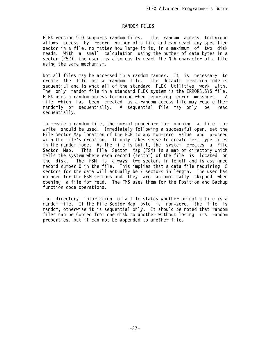# RANDOM FILES

FLEX version 9.0 supports random files. The random access technique allows access by record number of a file and can reach any specified sector in a file, no matter how large it is, in a maximum of two disk reads. With a small calculation using the number of data bytes in a sector (252), the user may also easily reach the Nth character of a file using the same mechanism.

Not all files may be accessed in a random manner. It is necessary to create the file as a random file. The default creation mode is sequential and is what all of the standard FLEX Utilities work with. The only random file in a standard FLEX system is the ERRORS.SYS file. FLEX uses a random access technique when reporting error messages. A file which has been created as a random access file may read either randomly or sequentially. A sequential file may only be read sequentially.

To create a random file, the normal procedure for opening a file for write should be used. Immediately following a successful open, set the File Sector Map location of the FCB to any non-zero value and proceed with the file's creation. It only makes sense to create text type files in the random mode. As the file is built, the system creates a File Sector Map. This File Sector Map (FSM) is a map or directory which tells the system where each record (sector) of the file is located on the disk. The FSM is always two sectors in length and is assigned record number 0 in the file. This implies that a data file requiring 5 sectors for the data will actually be 7 sectors in length. The user has no need for the FSM sectors and they are automatically skipped when opening a file for read. The FMS uses them for the Position and Backup function code operations.

The directory information of a file states whether or not a file is a random file. If the File Sector Map byte is non-zero, the file is random, otherwise it is sequential only. It should be noted that random files can be Copied from one disk to another without losing its random properties, but it can not be appended to another file.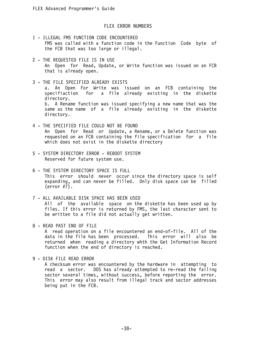#### FLEX ERROR NUMBERS

- 1 ILLEGAL FMS FUNCTION CODE ENCOUNTERED FMS was called with a function code in the Function Code byte of the FCB that was too large or illegal.
- 2 THE REQUESTED FILE IS IN USE An Open for Read, Update, or Write function was issued on an FCB that is already open.
- 3 THE FILE SPECIFIED ALREADY EXISTS

a. An Open For Write was issued on an FCB containing the specifiaction for a file already existing in the diskette directory.

b. A Rename function was issued specifying a new name that was the same as the name of a file already existing in the diskette directory.

- 4 THE SPECIFIED FILE COULD NOT BE FOUND An Open for Read or Update, a Rename, or a Delete function was requested on an FCB containing the file specification for a file which does not exist in the diskette directory
- 5 SYSTEM DIRECTORY ERROR REBOOT SYSTEM Reserved for future system use.
- 6 THE SYSTEM DIRECTORY SPACE IS FULL This error should never occur since the directory space is self expanding, and can never be filled. Only disk space can be filled (error #7).
- 7 ALL AVAILABLE DISK SPACE HAS BEEN USED All of the available space on the diskette has been used up by files. If this error is returned by FMS, the last character sent to be written to a file did not actually get written.
- 8 READ PAST END OF FILE

A read operation on a file encountered an end-of-file. All of the data in the file has been processed. This error will also be returned when reading a directory whth the Get Information Record function when the end of directory is reached.

9 - DISK FILE READ ERROR A checksum error was encountered by the hardware in attempting to read a sector. DOS has already attempted to re-read the failing sector several times, without success, before reporting the error. This error may also result from illegal track and sector addresses being put in the FCB.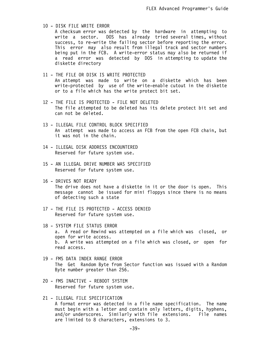10 - DISK FILE WRITE ERROR

A checksum error was detected by the hardware in attempting to write a sector. DOS has already tried several times, without success, to re-write the failing sector before reporting the error. This error may also result from illegal track and sector numbers being put in the FCB. A write-error status may also be returned if a read error was detected by DOS in attempting to update the diskette directory

- 11 THE FILE OR DISK IS WRITE PROTECTED An attempt was made to write on a diskette which has been write-protected by use of the write-enable cutout in the diskette or to a file which has the write protect bit set.
- 12 THE FILE IS PROTECTED FILE NOT DELETED The file attempted to be deleted has its delete protect bit set and can not be deleted.
- 13 ILLEGAL FILE CONTROL BLOCK SPECIFIED An attempt was made to access an FCB from the open FCB chain, but it was not in the chain.
- 14 ILLEGAL DISK ADDRESS ENCOUNTERED Reserved for future system use.
- 15 AN ILLEGAL DRIVE NUMBER WAS SPECIFIED Reserved for future system use.
- 16 DRIVES NOT READY The drive does not have a diskette in it or the door is open. This message cannot be issued for mini floppys since there is no means of detecting such a state
- 17 THE FILE IS PROTECTED ACCESS DENIED Reserved for future system use.
- 18 SYSTEM FILE STATUS ERROR a. A read or Rewind was attempted on a file which was closed, or open for write access. b. A write was attempted on a file which was closed, or open for read access.
- 19 FMS DATA INDEX RANGE ERROR The Get Random Byte from Sector function was issued with a Random Byte number greater than 256.
- 20 FMS INACTIVE REBOOT SYSTEM Reserved for future system use.
- 21 ILLEGAL FILE SPECIFICATION A format error was detected in a file name specification. The name must begin with a letter and contain only letters, digits, hyphens, and/or underscores. Similarly with file extensions. File names are limited to 8 characters, extensions to 3.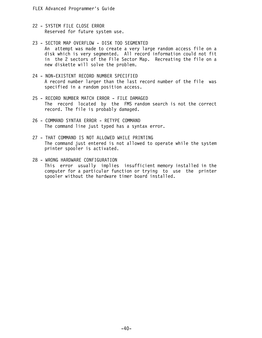- 22 SYSTEM FILE CLOSE ERROR Reserved for future system use.
- 23 SECTOR MAP OVERFLOW DISK TOO SEGMENTED An attempt was made to create a very large random access file on a disk which is very segmented. All record information could not fit in the 2 sectors of the File Sector Map. Recreating the file on a new diskette will solve the problem.
- 24 NON-EXISTENT RECORD NUMBER SPECIFIED A record number larger than the last record number of the file was specified in a random position access.
- 25 RECORD NUMBER MATCH ERROR FILE DAMAGED The record located by the FMS random search is not the correct record. The file is probably damaged.
- 26 COMMAND SYNTAX ERROR RETYPE COMMAND The command line just typed has a syntax error.
- 27 THAT COMMAND IS NOT ALLOWED WHILE PRINTING The command just entered is not allowed to operate while the system printer spooler is activated.
- 28 WRONG HARDWARE CONFIGURATION This error usually implies insufficient memory installed in the computer for a particular function or trying to use the printer spooler without the hardware timer board installed.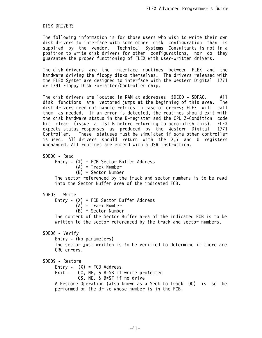DISK DRIVERS

The following information is for those users who wish to write their own disk drivers to interface with some other disk configuration than is supplied by the vendor. Technical Systems Consultants is not in a position to write disk drivers for other configurations, nor do they guarantee the proper functioning of FLEX with user-written drivers.

The disk drivers are the interface routines between FLEX and the hardware driving the floppy disks themselves. The drivers released with the FLEX System are designed to interface with the Western Digital 1771 or 1791 Floppy Disk Formatter/Controller chip.

The disk drivers are located in RAM at addresses \$DE00 - \$DFA0. All disk functions are vectored jumps at the beginning of this area. The disk drivers need not handle retries in case of errors; FLEX will call them as needed. If an error is detected, the routines should exit with the disk hardware status in the B-register and the CPU Z-Condition code bit clear (issue a TST B before returning to accomplish this). FLEX expects status responses as produced by the Western Digital 1771 Controller. These statuses must be simulated if some other controller is used. All drivers should return with the X,Y and U registers unchanged. All routines are enterd with a JSR instruction.

\$DE00 - Read Entry - (X) = FCB Sector Buffer Address (A) = Track Number (B) = Sector Number The sector referenced by the track and sector numbers is to be read into the Sector Buffer area of the indicated FCB. \$DE03 - Write Entry - (X) = FCB Sector Buffer Address (A) = Track Number (B) = Sector Number

The content of the Sector Buffer area of the indicated FCB is to be written to the sector referenced by the track and sector numbers.

\$DE06 - Verify

Entry - (No parameters) The sector just written is to be verified to determine if there are CRC errors.

\$DE09 - Restore

Entry  $(X)$  = FCB Address Exit - CC, NE, & B=\$B if write protected CS, NE, & B=\$F if no drive A Restore Operation (also known as a Seek to Track 00) is so be performed on the drive whose number is in the FCB.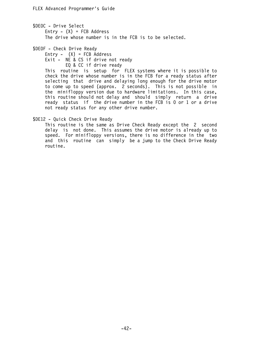\$DE0C - Drive Select Entry -  $(X)$  = FCB Address The drive whose number is in the FCB is to be selected.

\$DE0F - Check Drive Ready

Entry -  $(X)$  = FCB Address Exit - NE & CS if drive not ready EQ & CC if drive ready

This routine is setup for FLEX systems where it is possible to check the drive whose number is in the FCB for a ready status after selecting that drive and delaying long enough for the drive motor to come up to speed (approx. 2 seconds). This is not possible in the minifloppy version due to hardware limitations. In this case, this routine should not delay and should simply return a drive ready status if the drive number in the FCB is 0 or 1 or a drive not ready status for any other drive number.

\$DE12 - Quick Check Drive Ready

This routine is the same as Drive Check Ready except the 2 second delay is not done. This assumes the drive motor is already up to speed. For minifloppy versions, there is no difference in the two and this routine can simply be a jump to the Check Drive Ready routine.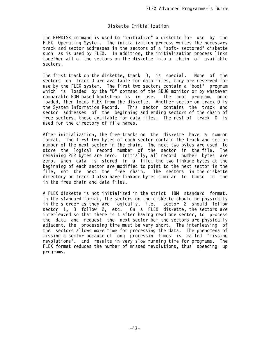# Diskette Initialization

The NEWDISK command is used to "initialize" a diskette for use by the FLEX Operating System. The initialization process writes the necessary track and sector addresses in the sectors of a "soft- sectored" diskette such as is used by FLEX. In addition, the initialization process links together all of the sectors on the diskette into a chain of available sectors.

The first track on the diskette, track 0, is special. None of the sectors on track 0 are available for data files, they are reserved for use by the FLEX system. The first two sectors contain a "boot" program which is loaded by the "D" command of the SBUG monitor or by whatever comparable ROM based bootstrap is in use. The boot program, once loaded, then loads FLEX from the diskette. Another sector on track 0 is the System Information Record. This sector contains the track and sector addresses of the beginning and ending sectors of the chain of free sectors, those available for data files. The rest of track 0 is used for the directory of file names.

After initialization, the free tracks on the diskette have a common format. The first two bytes of each sector contain the track and sector number of the next sector in the chain. The next two bytes are used to store the logical record number of the sector in the file. The remaining 252 bytes are zero. Initially, all record number bytes are zero. When data is stored in a file, the two linkage bytes at the beginning of each sector are modified to point to the next sector in the file, not the next the free chain. The sectors in the diskette directory on track 0 also have linkage bytes similar to those in the in the free chain and data files.

A FLEX diskette is not initialized in the strict IBM standard format. In the standard format, the sectors on the diskette should be physically in the s order as they are logically, i.e. sector 2 should follow sector 1, 3 follow 2, etc. On a FLEX diskette, the sectors are interleaved so that there is t after having read one sector, to process the data and request the next sector bef the sectors are physically adjacent, the processing time must be very short. The interleaving of the sectors allows more time for processing the data. The phenomena of missing a sector because of long processin times is called "missing revolutions", and results in very slow running time for programs. The FLEX format reduces the number of missed revolutions, thus speeding up programs.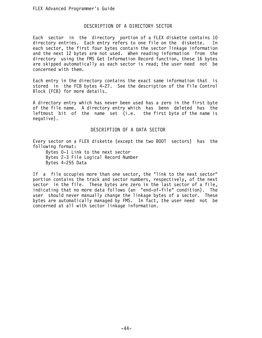# DESCRIPTION OF A DIRECTORY SECTOR

Each sector in the directory portion of a FLEX diskette contains 10 directory entries. Each entry refers to one file on the diskette. In each sector, the first four bytes contain the sector linkage information and the next 12 bytes are not used. When reading information from the directory using the FMS Get Information Record function, these 16 bytes are skipped automatically as each sector is read; the user need not be concerned with them.

Each entry in the directory contains the exact same information that is stored in the FCB bytes 4-27. See the description of the File Control Block (FCB) for more details.

A directory entry which has never been used has a zero in the first byte of the file name. A directory entry which has benn deleted has the leftmost bit of the name set (i.e. the first byte of the name is negative).

# DESCRIPTION OF A DATA SECTOR

Every sector on a FLEX diskette (except the two BOOT sectors) has the following format:

 Bytes 0-1 Link to the next sector Bytes 2-3 File Logical Record Number Bytes 4-255 Data

If a file occupies more than one sector, the "link to the next sector" portion contains the track and sector numbers, respectively, of the next sector in the file. These bytes are zero in the last sector of a file, indicating that no more data follows (an "end-of-file" condition). The user should never manually change the linkage bytes of a sector. These bytes are automatically managed by FMS. In fact, the user need not be concerned at all with sector linkage information.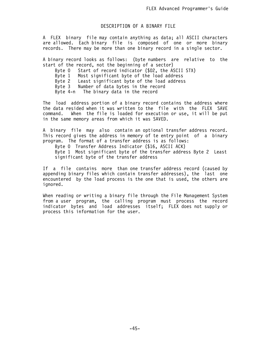# DESCRIPTION OF A BINARY FILE

A FLEX binary file may contain anything as data; all ASCII characters are allowed. Each binary file is composed of one or more binary records. There may be more than one binary record in a single sector.

A binary record looks as follows: (byte numbers are relative to the start of the record, not the beginning of a sector)

Byte 0 Start of record indicator (\$02, the ASCII STX)

Byte 1 Most significant byte of the load address

Byte 2 Least significant byte of the load address

Byte 3 Number of data bytes in the record<br>Byte 4-n The binary data in the record

The binary data in the record

The load address portion of a binary record contains the address where the data resided when it was written to the file with the FLEX SAVE command. When the file is loaded for execution or use, it will be put in the same memory areas from which it was SAVED.

A binary file may also contain an optional transfer address record. This record gives the address in memory of te entry point of a binary program. The format of a transfer address is as follows:

Byte 0 Transfer Address Indicator (\$16, ASCII ACK)

Byte 1 Most significant byte of the transfer address Byte 2 Least significant byte of the transfer address

If a file contains more than one transfer address record (caused by appending binary files which contain transfer addresses), the last one encountered by the load process is the one that is used, the others are ignored.

When reading or writing a binary file through the File Management System from a user program, the calling program must process the record indicator bytes and load addresses itself; FLEX does not supply or process this information for the user.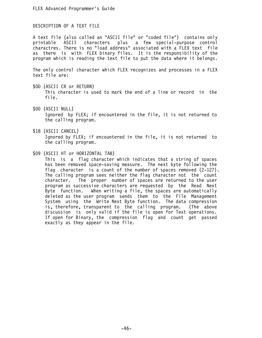DESCRIPTION OF A TEXT FILE

A text file (also called an "ASCII file" or "coded file") contains only printable ASCII characters plus a few special-purpose control charactres. There is no "load address" associated with a FLEX text file as there is with FLEX binary files. It is the responsibility of the program which is reading the text file to put the data where it belongs.

The only control character which FLEX recognizes and processes in a FLEX text file are:

- \$0D (ASCII CR or RETURN) This character is used to mark the end of a line or record in the file.
- \$00 (ASCII NULL) Ignored by FLEX; if encountered in the file, it is not returned to the calling program.
- \$18 (ASCII CANCEL)

Ignored by FLEX; if encountered in the file, it is not returned to the calling program.

\$09 (ASCII HT or HORIZONTAL TAB)

This is a flag character which indicates that a string of spaces has been removed space-saving measure. The next byte following the flag character is a count of the number of spaces removed (2-127). The calling program sees neither the flag character not the count character. The proper number of spaces are returned to the user program as successive characters are requested by the Read Next Byte function. When writing a file, the spaces are automatically deleted as the user program sends them to the File Management System using the Write Next Byte function. The data compression is, therefore, transparent to the calling program. (The above discussion is only valid if the file is open for Text operations. If open for Binary, the compression flag and count get passed exactly as they appear in the file.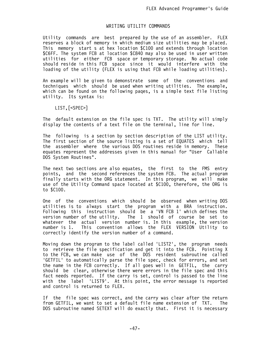#### WRITING UTILITY COMMANDS

Utility commands are best prepared by the use of an assembler. FLEX reserves a block of memory in which medium size utilities may be placed. This memory start s at hex location \$C100 and extends through location \$C6FF. The system FCB at location \$C840 may also be used in user written utilities for either FCB space or temporary storage. No actual code should reside in this FCB space since it would interfere with the loading of the utility (FLEX is using that FCB while loading utilities).

An example will be given to demonstrate some of the conventions and techniques which should be used when writinq utilities. The example, which can be found on the following paqes, is a simple text file listing utility. Its syntax is:

LIST,[<SPEC>]

The default extension on the file spec is TXT. The utility will simply display the contents of a text file on the terminal, line for line.

The following is a section by section description of the LIST utility. The first section of the source listing is a set of EQUATES which tell the assembler where the various DOS routines reside in memory. These equates represent the addresses given in this manual for "User Callable DOS System Routines".

The next two sections are also equates, the first to the FMS entry points, and the second references the system FCB. The actual program finally starts with the ORG statement. In this program, we will make use of the Utility Command space located at \$C100, therefore, the ORG is to \$C100.

One of the conventions which should be observed when writing DOS utilities is to always start the program with a BRA instruction. Following this instruction should be a 'VN FCB 1' which defines the version number of the utility. The 1 should of course be set to whatever the actual version number is. In this example, the version number is 1. This convention allows the FLEX VERSION Utility to correctly identify the version number of a command.

Moving down the program to the label called 'LIST2', the program needs to retrieve the file specification and get it into the FCB. Pointing X to the FCB, we can make use of the DOS resident subroutine called 'GETFIL' to automatically parse the file spec, check for errors, and set the name in the FCB correctly. If all goes well in GETFIL, the carry should be clear, otherwise there were errors in the file spec and this fact needs reported. If the carry is set, control is passed to the line with the label 'LIST9'. At this point, the error message is reported and control is returned to FLEX.

If the file spec was correct, and the carry was clear after the return from GETFIL, we want to set a default file name extension of TXT. DOS subroutine named SETEXT will do exactly that. First it is necessary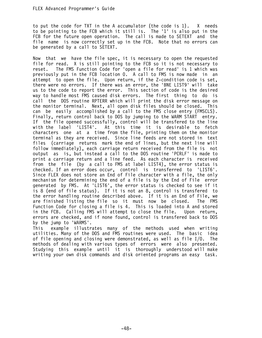to put the code for TXT in the A accumulator (the code is 1). X needs to be pointing to the FCB which it still is. The '1' is also put in the FCB for the future open operation. The call is made to SETEXT and the file name is now correctly set up in the FCB. Note that no errors can be generated by a call to SETEXT.

Now that we have the file spec, it is necessary to open the requested file for read. X is still pointing to the FCB so it is not necessary to reset. The FMS Function Code for 'open a file for read' is 1 which was previously put in the FCB location 0. A call to FMS is now made in an attempt to open the file. Upon return, if the Z-condition code is set, there were no errors. If there was an error, the 'BNE LIST9' will take us to the code to report the error. This section of code is the desired way to handle most FMS caused disk errors. The first thing to do is call the DOS routine RPTERR which will print the disk error message on the monitor terminal. Next, all open disk files should be closed. This can be easily accomplished by a call to the FMS close entry (FMSCLS). Finally, return control back to DOS by jumping to the WARM START entry. If the file opened successfully, control will be transfered to the line with the label 'LIST4'. At this time it is desirable to fetch characters one at a time from the file, printing them on the monitor terminal as they are received. Since line feeds are not stored in text files (carriage returns mark the end of lines, but the next line will follow immediately), each carriage return received from the file is not output as is, but instead a call to the DOS routine 'PCRLF' is made to print a carriage return and a line feed. As each character is received from the file (by a call to FMS at label LIST4), the error status is checked. If an error does occur, control is transferred to 'LIST6'. Since FLEX does not store an End of File character with a file, the only mechanism for determining the end of a file is by the End of File error generated by FMS. At 'LIST6', the error status is checked to see if it is 8 (end of file status). If it is not an 8, control is transfered to the error handling routine described above. If it is an End of File, we are finished listing the file so it must now be closed. The FMS Function Code for closing a file is 4. This is loaded into A and stored in the FCB. Calling FMS will attempt to close the file. Upon return, errors are checked, and if none found, control is transfered back to DOS by the jump to 'WARMS'.

This example illustrates many of the methods used when writing utilities. Many of the DOS and FMS routines were used. The basic idea of file opening and closing were demonstrated, as well as file I/0. The methods of dealing with various types of errors were also presented. Studying this example until it is thoroughly understood will make writing your own disk commands and disk oriented programs an easy task.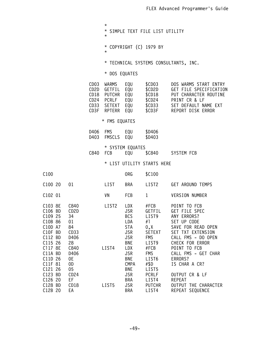|                                                                                                                                                                              |                                                                                                                                       |                                  | $^\star$<br>$\star$        |                                                                                                                                                                                                   | * SIMPLE TEXT FILE LIST UTILITY                                                                                                                                                     |                                                                                                                                                                                                                                                                                      |
|------------------------------------------------------------------------------------------------------------------------------------------------------------------------------|---------------------------------------------------------------------------------------------------------------------------------------|----------------------------------|----------------------------|---------------------------------------------------------------------------------------------------------------------------------------------------------------------------------------------------|-------------------------------------------------------------------------------------------------------------------------------------------------------------------------------------|--------------------------------------------------------------------------------------------------------------------------------------------------------------------------------------------------------------------------------------------------------------------------------------|
|                                                                                                                                                                              |                                                                                                                                       |                                  | $\star$                    | * COPYRIGHT (C) 1979 BY                                                                                                                                                                           |                                                                                                                                                                                     |                                                                                                                                                                                                                                                                                      |
|                                                                                                                                                                              |                                                                                                                                       |                                  |                            |                                                                                                                                                                                                   |                                                                                                                                                                                     | * TECHNICAL SYSTEMS CONSULTANTS, INC.                                                                                                                                                                                                                                                |
|                                                                                                                                                                              |                                                                                                                                       |                                  | * DOS EQUATES              |                                                                                                                                                                                                   |                                                                                                                                                                                     |                                                                                                                                                                                                                                                                                      |
|                                                                                                                                                                              |                                                                                                                                       | CD <sub>03</sub><br>CD2D<br>CD18 | WARMS                      | EQU                                                                                                                                                                                               | \$CDO3<br>GETFIL EQU \$CD2D<br>PUTCHR EQU \$CD18                                                                                                                                    | DOS WARMS START ENTRY<br>GET FILE SPECIFICATION<br>PUT CHARACTER ROUTINE<br>CD24 PCRLF EQU \$CD24 PRINT CR & LF<br>CD33 SETEXT EQU \$CD33 SET DEFAULT NAME EXT<br>CD3F RPTERR EQU \$CD3F REPORT DISK ERROR                                                                           |
|                                                                                                                                                                              |                                                                                                                                       |                                  | * FMS EQUATES              |                                                                                                                                                                                                   |                                                                                                                                                                                     |                                                                                                                                                                                                                                                                                      |
|                                                                                                                                                                              |                                                                                                                                       | D406<br>D403                     | FMS EQU \$D406             | FMSCLS EQU                                                                                                                                                                                        | \$D403                                                                                                                                                                              |                                                                                                                                                                                                                                                                                      |
|                                                                                                                                                                              |                                                                                                                                       | C840                             |                            | * SYSTEM EQUATES                                                                                                                                                                                  |                                                                                                                                                                                     | FCB EQU \$C840 SYSTEM FCB                                                                                                                                                                                                                                                            |
|                                                                                                                                                                              |                                                                                                                                       |                                  |                            |                                                                                                                                                                                                   | * LIST UTILITY STARTS HERE                                                                                                                                                          |                                                                                                                                                                                                                                                                                      |
| C <sub>100</sub>                                                                                                                                                             |                                                                                                                                       |                                  |                            | ORG                                                                                                                                                                                               | \$C100                                                                                                                                                                              |                                                                                                                                                                                                                                                                                      |
| C100 20                                                                                                                                                                      | 01                                                                                                                                    |                                  | LIST                       | <b>BRA</b>                                                                                                                                                                                        | LIST2                                                                                                                                                                               | <b>GET AROUND TEMPS</b>                                                                                                                                                                                                                                                              |
| C102 01                                                                                                                                                                      |                                                                                                                                       |                                  | VN                         | FCB <sub>1</sub>                                                                                                                                                                                  | $\mathbf{1}$                                                                                                                                                                        | VERSION NUMBER                                                                                                                                                                                                                                                                       |
| C103 8E<br>C106 BD<br>C109 25<br>C10B 86<br>C10D A7<br>C10F BD<br>C112 BD<br>C115 26<br>C117 8E<br>C11A BD<br>C11D 26<br>C11F 81<br>C121 26<br>C123 BD<br>C126 20<br>C128 BD | C840<br>CD <sub>2</sub> D<br>34<br>01<br>84<br>CD33<br>D406<br>28<br>C840<br>D406<br>0E<br>0D<br>05<br>CD <sub>24</sub><br>EF<br>CD18 |                                  | LIST <sub>2</sub><br>LIST4 | LDX<br><b>JSR</b><br><b>BCS</b><br>LDA<br><b>STA</b><br><b>JSR</b><br><b>JSR</b><br><b>BNE</b><br>LDX<br><b>JSR</b><br><b>BNE</b><br>CMPA<br><b>BNE</b><br><b>JSR</b><br><b>BRA</b><br><b>JSR</b> | #FCB<br>GETFIL<br>LIST9<br>#1<br>0, X<br><b>SETEXT</b><br><b>FMS</b><br>LIST9<br>#FCB<br><b>FMS</b><br>LIST <sub>6</sub><br>#\$D<br>LIST5<br><b>PCRLF</b><br>LIST4<br><b>PUTCHR</b> | POINT TO FCB<br>GET FILE SPEC<br>ANY ERRORS?<br>SET UP CODE<br>SAVE FOR READ OPEN<br>SET TXT EXTENSION<br>CALL FMS - DO OPEN<br><b>CHECK FOR ERROR</b><br>POINT TO FCB<br>CALL FMS - GET CHAR<br>ERRORS?<br>IS CHAR A CR?<br>OUTPUT CR & LF<br><b>REPEAT</b><br>OUTPUT THE CHARACTER |
| C12B 20                                                                                                                                                                      | ЕA                                                                                                                                    |                                  | LIST5                      | <b>BRA</b>                                                                                                                                                                                        | LIST4                                                                                                                                                                               | REPEAT SEQUENCE                                                                                                                                                                                                                                                                      |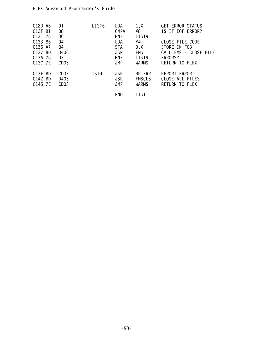| C12D A6<br>C12F 81<br>C131 26<br>C133 86<br>C135 A7<br>C137 BD<br>C13A 26<br>C13C 7E | 01<br>08<br>0C<br>04<br>84<br>D406<br>03<br>CD <sub>03</sub> | LIST6             | LDA<br><b>CMPA</b><br>BNE<br>LDA<br><b>STA</b><br><b>JSR</b><br><b>BNE</b><br>JMP | 1, X<br>#8<br>LIST9<br>#4<br>0, X<br><b>FMS</b><br>LIST <sub>9</sub><br><b>WARMS</b> | <b>GET ERROR STATUS</b><br>IS IT EOF ERROR?<br>CLOSE FILE CODE<br>STORE IN FCB<br>CALL FMS - CLOSE FILE<br>ERRORS?<br>RETURN TO FLEX |
|--------------------------------------------------------------------------------------|--------------------------------------------------------------|-------------------|-----------------------------------------------------------------------------------|--------------------------------------------------------------------------------------|--------------------------------------------------------------------------------------------------------------------------------------|
| C13F BD<br>C142 BD<br>C145 7E                                                        | CD3F<br>D403<br>CD <sub>03</sub>                             | LIST <sub>9</sub> | <b>JSR</b><br><b>JSR</b><br><b>JMP</b>                                            | <b>RPTERR</b><br><b>FMSCLS</b><br>WARMS                                              | <b>REPORT ERROR</b><br>CLOSE ALL FILES<br><b>RETURN TO FLEX</b>                                                                      |
|                                                                                      |                                                              |                   | <b>END</b>                                                                        | LIST                                                                                 |                                                                                                                                      |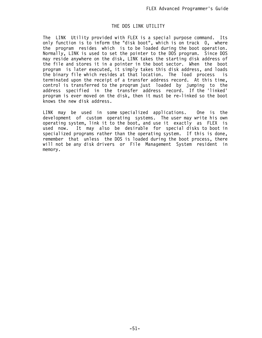# THE DOS LINK UTILITY

The LINK Utility provided with FLEX is a special purpose command. Its only function is to inform the "disk boot", which is on track 0, where the program resides which is to be loaded during the boot operation. Normally, LINK is used to set the pointer to the DOS program. Since DOS may reside anywhere on the disk, LINK takes the starting disk address of the file and stores it in a pointer in the boot sector. When the boot program is later executed, it simply takes this disk address, and loads the binary file which resides at that location. The load process is terminated upon the receipt of a transfer address record. At this time, control is transferred to the proqram just loaded by jumping to the address specified in the transfer address record. If the 'linked' program is ever moved on the disk, then it must be re-linked so the boot knows the new disk address.

LINK may be used in some specialized applications. One is the development of custom operating systems. The user may write his own operating system, link it to the boot, and use it exactly as FLEX is used now. It may also be desirable for special disks to boot in specialized programs rather than the operating system. If this is done, remember that unless the DOS is loaded during the boot process, there will not be any disk drivers or File Management System resident in memory.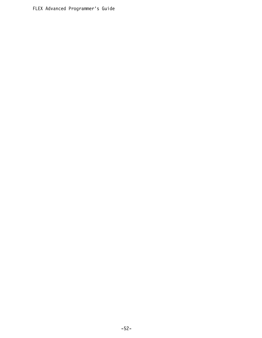# FLEX Advanced Programmer's Guide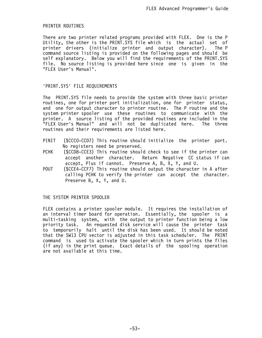# PRINTER ROUTINES

There are two printer related programs provided with FLEX. One is the P Utility, the other is the PRINT.SYS file which is the actual set of printer drivers (initialize printer and output character). The P command source listing is provided on the following pages and should be self explanatory. Below you will find the requirements of the PRINT.SYS file. No source listing is provided here since one is given in the "FLEX User's Manual".

# 'PRINT.SYS' FILE REQUIREMENTS

The PRINT.SYS file needs to provide the system with three basic printer routines, one for printer port initialization, one for printer status, and one for output character to printer routine. The P routine and the system printer spooler use these routines to communicate with the printer. A source listing of the provided routines are included in the "FLEX User's Manual" and will not be duplicated here. The three routines and their requirements are listed here.

- PINIT (\$CCCO-CCD7) This routine should initialize the printer port. No registers need be preserved.
- PCHK (\$CCD8-CCE3) This routine should check to see if the printer can accept another character. Return Negative CC status if can accept, Plus if cannot. Preserve A, B, X, Y, and U.
- POUT (\$CCE4-CCF7) This routine should output the character in A after calling PCHK to verify the printer can accept the character. Preserve B, X, Y, and U.

# THE SYSTEM PRINTER SPOOLER

FLEX contains a printer spooler module. It requires the installation of an interval timer board for operation. Essentially, the spooler is a multi-tasking system, with the output to printer function being a low priority task. An requested disk service will cause the printer task to temporarily halt until the disk has been used. It should be noted that the SW13 CPU vector is adjusted in this task scheduler. The PRINT command is used to activate the spooler which in turn prints the files (if any) in the print queue. Exact details of the spooling operation are not available at this time.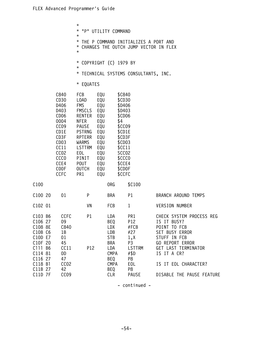|                                                                                                                                  |                                                                                                                                                                                                        | $^\star$<br>$^\star$<br>$^\star$<br>* THE P COMMAND INITIALIZES A PORT AND<br>$\star$<br>$^\star$<br>* COPYRIGHT (C) 1979 BY<br>$\star$<br>* TECHNICAL SYSTEMS CONSULTANTS, INC.                                                                                                                                                           | "P" UTILITY COMMAND                                                                                                                                                  |                                                                                                                             | CHANGES THE OUTCH JUMP VECTOR IN FLEX                                                                                                                                                                          |
|----------------------------------------------------------------------------------------------------------------------------------|--------------------------------------------------------------------------------------------------------------------------------------------------------------------------------------------------------|--------------------------------------------------------------------------------------------------------------------------------------------------------------------------------------------------------------------------------------------------------------------------------------------------------------------------------------------|----------------------------------------------------------------------------------------------------------------------------------------------------------------------|-----------------------------------------------------------------------------------------------------------------------------|----------------------------------------------------------------------------------------------------------------------------------------------------------------------------------------------------------------|
|                                                                                                                                  | C840<br>CD <sub>30</sub><br>D406<br>D403<br>CD <sub>06</sub><br>0004<br>CC <sub>09</sub><br>CD1E<br>CD3F<br>CD <sub>03</sub><br>CC11<br>CC <sub>02</sub><br><b>CCCO</b><br>CCE4<br>COOF<br><b>CCFC</b> | <b>EQUATES</b><br>$\star$<br>FCB<br>EQU<br>EQU<br>LOAD<br>EQU<br><b>FMS</b><br>FMSCLS EQU<br>EQU<br>RENTER<br>EQU<br><b>NFER</b><br>EQU<br><b>PAUSE</b><br>EQU<br><b>PSTRNG</b><br>RPTERR EQU<br>EQU<br><b>WARMS</b><br>LSTTRM<br>EQU<br>EOL<br>EQU<br>PINIT<br>EQU<br><b>POUT</b><br>EQU<br><b>OUTCH</b><br>EQU<br>PR <sub>1</sub><br>EQU | \$C840<br>\$CD30<br>\$D406<br>\$D403<br>\$CD06<br>\$4<br>\$CC09<br>\$CD1E<br>\$CD3F<br>\$CD03<br>\$CC11<br>SCC <sub>02</sub><br>\$CCCO<br>\$CCE4<br>\$CDOF<br>\$CCFC |                                                                                                                             |                                                                                                                                                                                                                |
| C100                                                                                                                             |                                                                                                                                                                                                        |                                                                                                                                                                                                                                                                                                                                            | ORG                                                                                                                                                                  | \$C100                                                                                                                      |                                                                                                                                                                                                                |
| C100 20                                                                                                                          | 01                                                                                                                                                                                                     | P                                                                                                                                                                                                                                                                                                                                          | <b>BRA</b>                                                                                                                                                           | P1                                                                                                                          | BRANCH AROUND TEMPS                                                                                                                                                                                            |
| C102 01                                                                                                                          |                                                                                                                                                                                                        | VN                                                                                                                                                                                                                                                                                                                                         | FCB                                                                                                                                                                  | 1                                                                                                                           | <b>VERSION NUMBER</b>                                                                                                                                                                                          |
| C103 B6<br>C106 27<br>C108 8E<br>C10B C6<br>C10D E7<br>C10F 20<br>C111 B6<br>C114 81<br>C116 27<br>C118 B1<br>C11B 27<br>C11D 7F | <b>CCFC</b><br>09<br>C840<br>1B<br>01<br>45<br>CC11<br>OD<br>47<br>CC <sub>02</sub><br>42<br>CC <sub>09</sub>                                                                                          | P1<br>P12                                                                                                                                                                                                                                                                                                                                  | LDA<br><b>BEQ</b><br>LDX<br>LDB<br><b>STB</b><br><b>BRA</b><br>LDA<br><b>CMPA</b><br><b>BEQ</b><br><b>CMPA</b><br><b>BEQ</b><br>CLR                                  | PR <sub>1</sub><br>P12<br>#FCB<br>#27<br>1, X<br>P3<br><b>LSTTRM</b><br>#\$D<br>P8<br>EOL<br>P <sub>8</sub><br><b>PAUSE</b> | CHECK SYSTEM PROCESS REG<br>IS IT BUSY?<br>POINT TO FCB<br>SET BUSY ERROR<br>STUFF IN FCB<br><b>GO REPORT ERROR</b><br>GET LAST TERMINATOR<br>IS IT A CR?<br>IS IT EOL CHARACTER?<br>DISABLE THE PAUSE FEATURE |

- continued -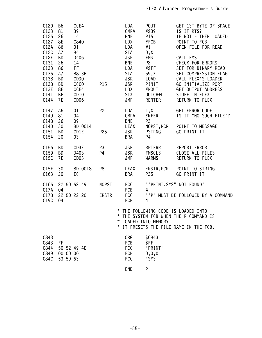| C120<br>C123<br>C125<br>C127<br>C12A<br>C12C<br>C12E<br>C131<br>C133<br>C135<br>C138<br>C13B<br>C13E<br>C141<br>C144 | B6<br>81<br>26<br>8E<br>86<br>A7<br><b>BD</b><br>26<br>86<br>A7<br><b>BD</b><br><b>BD</b><br>8E<br>BF<br><b>7E</b> | CCE4<br>39<br>14<br>C840<br>01<br>84<br>D406<br>14<br>FF<br>88 3B<br>CD <sub>30</sub><br><b>CCCO</b><br>CCE4<br>CD <sub>10</sub><br>CD <sub>06</sub> | P15                   | LDA<br>CMPA<br><b>BNE</b><br>LDX<br>LDA<br><b>STA</b><br><b>JSR</b><br><b>BNE</b><br>LDA<br><b>STA</b><br>JSR<br>JSR<br>LDX<br><b>STX</b><br>JMP | POUT<br>#\$39<br>P15<br>#FCB<br>#1<br>0, X<br><b>FMS</b><br>P2<br>#\$FF<br>59, X<br>LOAD<br>PINIT<br>#POUT<br>OUTCH+L<br>RENTER | GET 1ST BYTE OF SPACE<br>IS IT RTS?<br>IF NOT - THEN LOADED<br>POINT TO FCB<br>OPEN FILE FOR READ<br>CALL FMS<br>CHECK FOR ERRORS<br>SET FOR BINARY READ<br>SET COMPRESSION FLAG<br>CALL FLEX'S LOADER<br>GO INITIALIZE PORT<br>GET OUTPUT ADDRESS<br>STUFF IN FLEX<br>RETURN TO FLEX |
|----------------------------------------------------------------------------------------------------------------------|--------------------------------------------------------------------------------------------------------------------|------------------------------------------------------------------------------------------------------------------------------------------------------|-----------------------|--------------------------------------------------------------------------------------------------------------------------------------------------|---------------------------------------------------------------------------------------------------------------------------------|---------------------------------------------------------------------------------------------------------------------------------------------------------------------------------------------------------------------------------------------------------------------------------------|
| C <sub>147</sub><br>C149<br>C14B<br>C14D<br>C151                                                                     | A6<br>81<br>26<br>30<br><b>BD</b>                                                                                  | 01<br>04<br>09<br>8D 0014<br>CD1E                                                                                                                    | P <sub>2</sub><br>P25 | LDA<br>CMPA<br><b>BNE</b><br>LEAX<br><b>JSR</b>                                                                                                  | 1, X<br>#NFER<br>P <sub>3</sub><br>NOPST, PCR<br><b>PSTRNG</b>                                                                  | <b>GET ERROR CODE</b><br>IS IT "NO SUCH FILE"?<br>POINT TO MESSAGE<br>GO PRINT IT                                                                                                                                                                                                     |
| C154                                                                                                                 | 20                                                                                                                 | 03                                                                                                                                                   |                       | <b>BRA</b>                                                                                                                                       | P <sub>4</sub>                                                                                                                  |                                                                                                                                                                                                                                                                                       |
| C <sub>156</sub><br>C159<br>C15C                                                                                     | <b>BD</b><br><b>BD</b><br>7E                                                                                       | CD3F<br>D403<br>CD <sub>03</sub>                                                                                                                     | P <sub>3</sub><br>P4  | JSR<br>JSR<br>JMP                                                                                                                                | RPTERR<br><b>FMSCLS</b><br>WARMS                                                                                                | REPORT ERROR<br>CLOSE ALL FILES<br>RETURN TO FLEX                                                                                                                                                                                                                                     |
| C15F<br>C163                                                                                                         | 30<br>20                                                                                                           | 8D 0018<br>EC                                                                                                                                        | P <sub>8</sub>        | LEAX<br><b>BRA</b>                                                                                                                               | ERSTR, PCR<br>P25                                                                                                               | POINT TO STRING<br>GO PRINT IT                                                                                                                                                                                                                                                        |
| C165<br>C17A                                                                                                         | 04                                                                                                                 | 22 50 52 49                                                                                                                                          | <b>NOPST</b>          | FCC<br>FCB                                                                                                                                       | 4                                                                                                                               | ""PRINT.SYS" NOT FOUND'                                                                                                                                                                                                                                                               |
| C17B<br>C19C                                                                                                         | 04                                                                                                                 | 22 50 22 20                                                                                                                                          | <b>ERSTR</b>          | <b>FCC</b><br>FCB                                                                                                                                | 4                                                                                                                               | "P" MUST BE FOLLOWED BY A COMMAND'                                                                                                                                                                                                                                                    |
|                                                                                                                      |                                                                                                                    |                                                                                                                                                      | $\star$               |                                                                                                                                                  | * LOADED INTO MEMORY.                                                                                                           | THE FOLLOWING CODE IS LOADED INTO<br>* THE SYSTEM FCB WHEN THE P COMMAND IS<br>* IT PRESETS THE FILE NAME IN THE FCB.                                                                                                                                                                 |
| C843<br>C843<br>C844<br>C849<br>C84C                                                                                 | FF<br>00 00 00<br>53 59 53                                                                                         | 50 52 49 4E                                                                                                                                          |                       | 0RG<br><b>FCB</b><br><b>FCC</b><br>FCB<br><b>FCC</b>                                                                                             | <b>\$C843</b><br>\$FF<br>'PRINT'<br>0, 0, 0<br>"SYS"                                                                            |                                                                                                                                                                                                                                                                                       |
|                                                                                                                      |                                                                                                                    |                                                                                                                                                      |                       | <b>END</b>                                                                                                                                       | P                                                                                                                               |                                                                                                                                                                                                                                                                                       |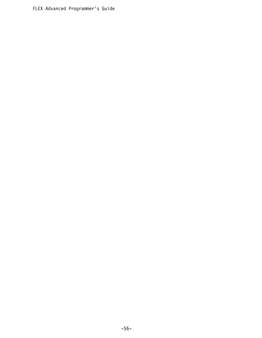# FLEX Advanced Programmer's Guide